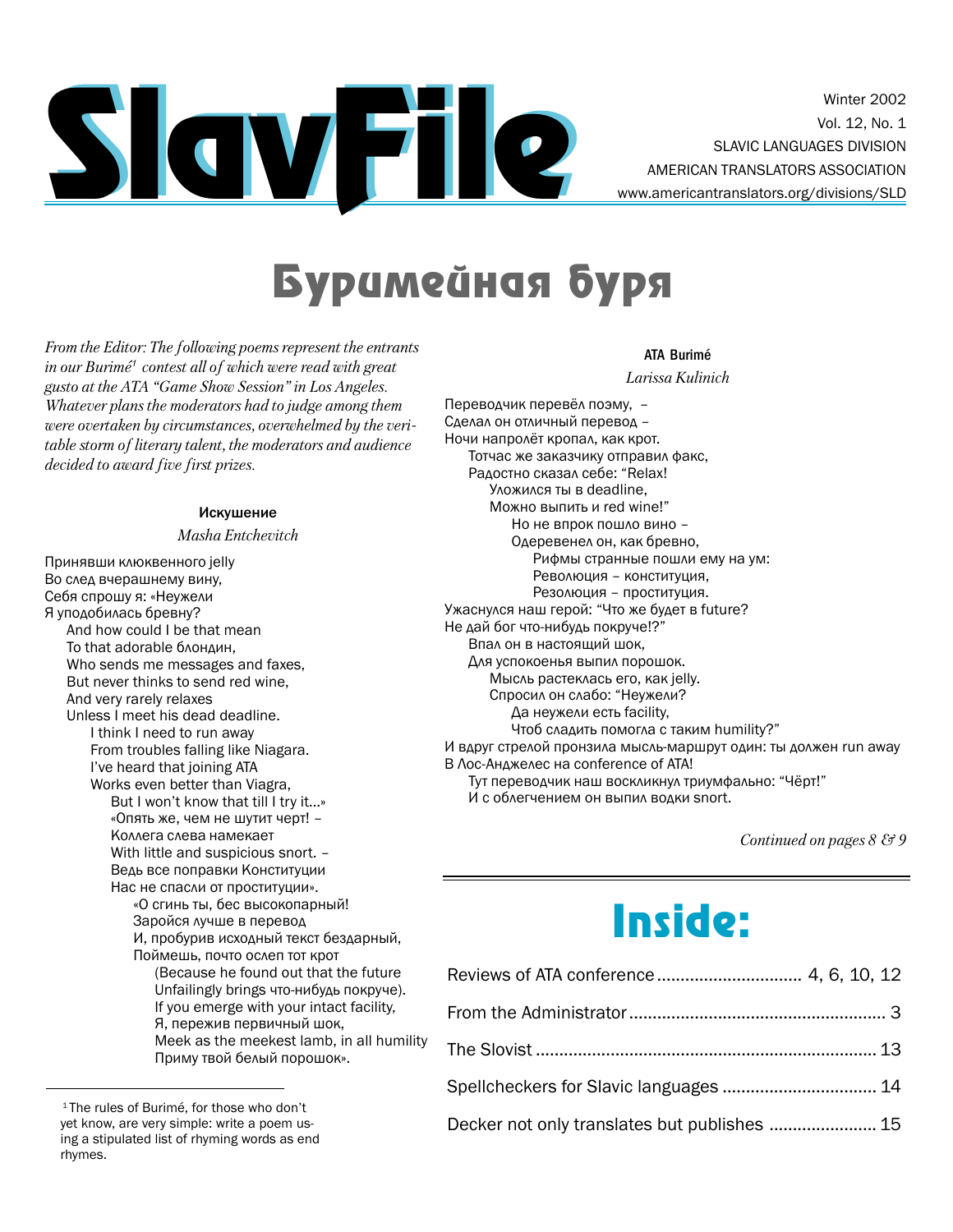

Winter 2002 Vol. 12, No. 1 SLAVIC LANGUAGES DIVISION AMERICAN TRANSLATORS ASSOCIATION www.americantranslators.org/divisions/SLD

# Буримейная буря

From the Editor: The following poems represent the entrants in our Burimé<sup>1</sup> contest all of which were read with great gusto at the ATA "Game Show Session" in Los Angeles. Whatever plans the moderators had to judge among them were overtaken by circumstances, overwhelmed by the veritable storm of literary talent, the moderators and audience decided to award five first prizes.

#### Искушение

#### Masha Entchevitch

Принявши клюквенного jelly Во след вчерашнему вину, Себя спрошу я: «Неужели Я уподобилась бревну? And how could I be that mean To that adorable блондин, Who sends me messages and faxes, But never thinks to send red wine, And very rarely relaxes Unless I meet his dead deadline. I think I need to run away From troubles falling like Niagara. I've heard that joining ATA Works even better than Viagra, But I won't know that till I try it...» «Опять же, чем не шутит черт! -Коллега слева намекает With little and suspicious snort. -Ведь все поправки Конституции Нас не спасли от проституции». «О сгинь ты, бес высокопарный! Заройся лучше в перевод И, пробурив исходный текст бездарный, Поймешь, почто ослеп тот крот (Because he found out that the future Unfailingly brings что-нибудь покруче). If you emerge with your intact facility, Я, пережив первичный шок, Meek as the meekest lamb, in all humility Приму твой белый порошок».

#### **ATA Burimé**

Larissa Kulinich

Переводчик перевёл поэму, -Сделал он отличный перевод -Ночи напролёт кропал, как крот. Тотчас же заказчику отправил факс, Радостно сказал себе: "Relax! Уложился ты в deadline. Можно выпить и red wine!" Но не впрок пошло вино -Одеревенел он, как бревно, Рифмы странные пошли ему на ум: Революция - конституция. Резолюция - проституция. Ужаснулся наш герой: "Что же будет в future? Не дай бог что-нибудь покруче!?" Впал он в настоящий шок, Для успокоенья выпил порошок. Мысль растеклась его, как jelly. Спросил он слабо: "Неужели? Да неужели есть facility, Чтоб сладить помогла с таким humility?" И вдруг стрелой пронзила мысль-маршрут один: ты должен run away В Лос-Анджелес на conference of ATA! Тут переводчик наш воскликнул триумфально: "Чёрт!" И с облегчением он выпил водки snort.

Continued on pages  $8 \& 9$ 

# **Inside:**

<sup>&</sup>lt;sup>1</sup>The rules of Burimé, for those who don't yet know, are very simple: write a poem using a stipulated list of rhyming words as end rhymes.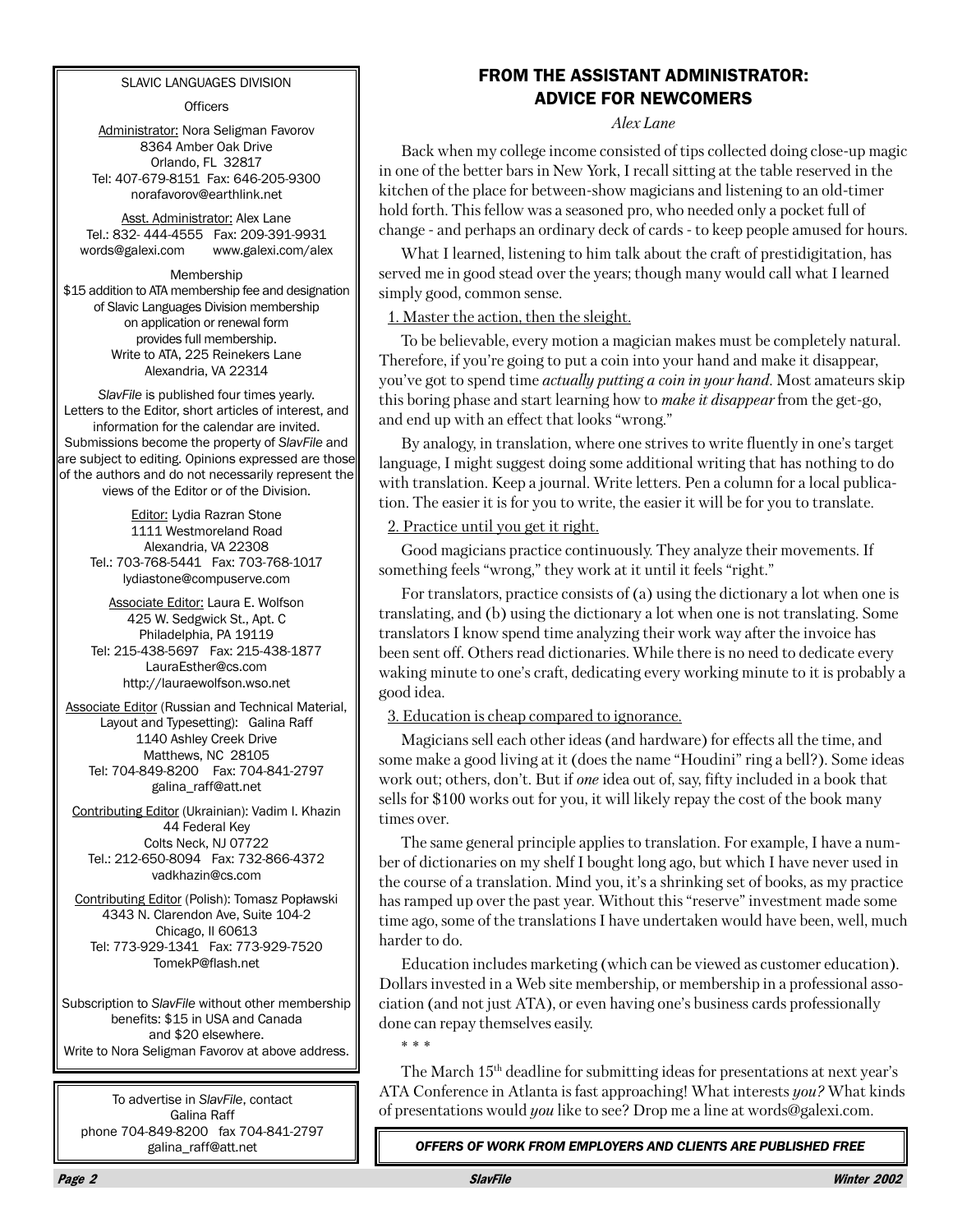#### **SLAVIC LANGUAGES DIVISION**

**Officers** 

Administrator: Nora Seligman Favorov 8364 Amber Oak Drive Orlando, FL 32817 Tel: 407-679-8151 Fax: 646-205-9300 norafavorov@earthlink.net

Asst. Administrator: Alex Lane Tel.: 832-444-4555 Fax: 209-391-9931 words@galexi.com www.galexi.com/alex

Membership \$15 addition to ATA membership fee and designation of Slavic Languages Division membership on application or renewal form provides full membership. Write to ATA, 225 Reinekers Lane Alexandria, VA 22314

SlavFile is published four times yearly. Letters to the Editor, short articles of interest, and information for the calendar are invited. Submissions become the property of SlavFile and are subject to editing. Opinions expressed are those of the authors and do not necessarily represent the views of the Editor or of the Division.

Editor: Lydia Razran Stone 1111 Westmoreland Road Alexandria, VA 22308 Tel.: 703-768-5441 Fax: 703-768-1017 lydiastone@compuserve.com

Associate Editor: Laura E. Wolfson 425 W. Sedgwick St., Apt. C Philadelphia, PA 19119 Tel: 215-438-5697 Fax: 215-438-1877 LauraEsther@cs.com http://lauraewolfson.wso.net

Associate Editor (Russian and Technical Material, Layout and Typesetting): Galina Raff 1140 Ashley Creek Drive Matthews, NC 28105 Tel: 704-849-8200 Fax: 704-841-2797 galina\_raff@att.net

Contributing Editor (Ukrainian): Vadim I. Khazin 44 Federal Key Colts Neck, NJ 07722 Tel.: 212-650-8094 Fax: 732-866-4372 vadkhazin@cs.com

Contributing Editor (Polish): Tomasz Popławski 4343 N. Clarendon Ave, Suite 104-2 Chicago, II 60613 Tel: 773-929-1341 Fax: 773-929-7520 TomekP@flash.net

Subscription to SlavFile without other membership benefits: \$15 in USA and Canada and \$20 elsewhere. Write to Nora Seligman Favorov at above address.

To advertise in SlavFile, contact Galina Raff phone 704-849-8200 fax 704-841-2797 galina\_raff@att.net

## **FROM THE ASSISTANT ADMINISTRATOR: ADVICE FOR NEWCOMERS**

#### Alex Lane

Back when my college income consisted of tips collected doing close-up magic in one of the better bars in New York, I recall sitting at the table reserved in the kitchen of the place for between-show magicians and listening to an old-timer hold forth. This fellow was a seasoned pro, who needed only a pocket full of change - and perhaps an ordinary deck of cards - to keep people amused for hours.

What I learned, listening to him talk about the craft of prestidigitation, has served me in good stead over the years; though many would call what I learned simply good, common sense.

1. Master the action, then the sleight.

To be believable, every motion a magician makes must be completely natural. Therefore, if you're going to put a coin into your hand and make it disappear, you've got to spend time *actually putting a coin in your hand*. Most amateurs skip this boring phase and start learning how to *make it disappear* from the get-go, and end up with an effect that looks "wrong."

By analogy, in translation, where one strives to write fluently in one's target language, I might suggest doing some additional writing that has nothing to do with translation. Keep a journal. Write letters. Pen a column for a local publication. The easier it is for you to write, the easier it will be for you to translate.

#### 2. Practice until you get it right.

Good magicians practice continuously. They analyze their movements. If something feels "wrong," they work at it until it feels "right."

For translators, practice consists of (a) using the dictionary a lot when one is translating, and (b) using the dictionary a lot when one is not translating. Some translators I know spend time analyzing their work way after the invoice has been sent off. Others read dictionaries. While there is no need to dedicate every waking minute to one's craft, dedicating every working minute to it is probably a good idea.

3. Education is cheap compared to ignorance.

Magicians sell each other ideas (and hardware) for effects all the time, and some make a good living at it (does the name "Houdini" ring a bell?). Some ideas work out; others, don't. But if one idea out of, say, fifty included in a book that sells for \$100 works out for you, it will likely repay the cost of the book many times over.

The same general principle applies to translation. For example, I have a number of dictionaries on my shelf I bought long ago, but which I have never used in the course of a translation. Mind you, it's a shrinking set of books, as my practice has ramped up over the past year. Without this "reserve" investment made some time ago, some of the translations I have undertaken would have been, well, much harder to do.

Education includes marketing (which can be viewed as customer education). Dollars invested in a Web site membership, or membership in a professional association (and not just ATA), or even having one's business cards professionally done can repay themselves easily.

 $* * *$ 

The March 15<sup>th</sup> deadline for submitting ideas for presentations at next year's ATA Conference in Atlanta is fast approaching! What interests you? What kinds of presentations would you like to see? Drop me a line at words@galexi.com.

OFFERS OF WORK FROM EMPLOYERS AND CLIENTS ARE PUBLISHED FREE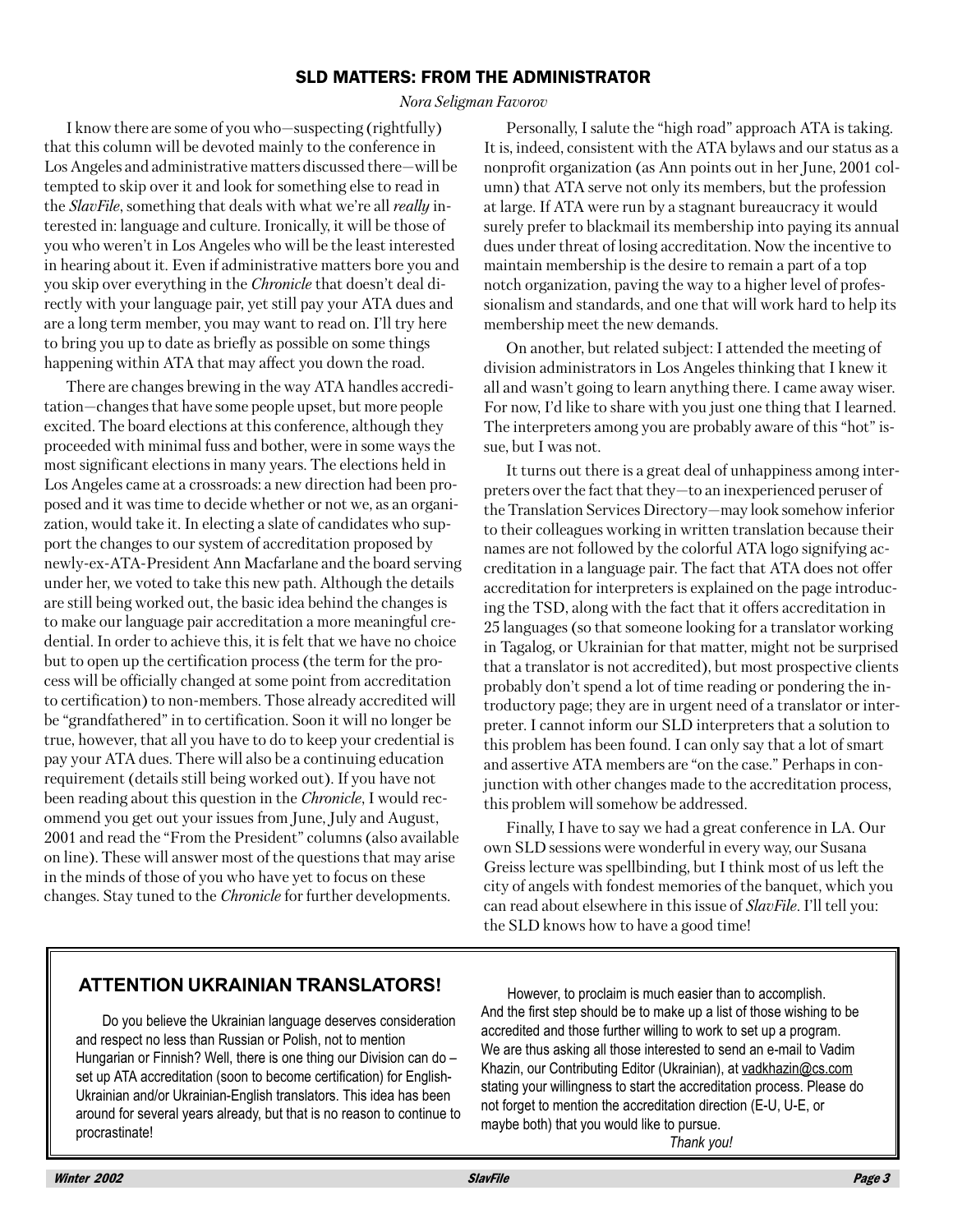## **SLD MATTERS: FROM THE ADMINISTRATOR**

#### Nora Seligman Favorov

I know there are some of you who-suspecting (rightfully) that this column will be devoted mainly to the conference in Los Angeles and administrative matters discussed there—will be tempted to skip over it and look for something else to read in the SlavFile, something that deals with what we're all really interested in: language and culture. Ironically, it will be those of you who weren't in Los Angeles who will be the least interested in hearing about it. Even if administrative matters bore you and you skip over everything in the *Chronicle* that doesn't deal directly with your language pair, yet still pay your ATA dues and are a long term member, you may want to read on. I'll try here to bring you up to date as briefly as possible on some things happening within ATA that may affect you down the road.

There are changes brewing in the way ATA handles accreditation—changes that have some people upset, but more people excited. The board elections at this conference, although they proceeded with minimal fuss and bother, were in some ways the most significant elections in many years. The elections held in Los Angeles came at a crossroads: a new direction had been proposed and it was time to decide whether or not we, as an organization, would take it. In electing a slate of candidates who support the changes to our system of accreditation proposed by newly-ex-ATA-President Ann Macfarlane and the board serving under her, we voted to take this new path. Although the details are still being worked out, the basic idea behind the changes is to make our language pair accreditation a more meaningful credential. In order to achieve this, it is felt that we have no choice but to open up the certification process (the term for the process will be officially changed at some point from accreditation to certification) to non-members. Those already accredited will be "grandfathered" in to certification. Soon it will no longer be true, however, that all you have to do to keep your credential is pay your ATA dues. There will also be a continuing education requirement (details still being worked out). If you have not been reading about this question in the *Chronicle*, I would recommend you get out your issues from June, July and August, 2001 and read the "From the President" columns (also available on line). These will answer most of the questions that may arise in the minds of those of you who have yet to focus on these changes. Stay tuned to the *Chronicle* for further developments.

Personally, I salute the "high road" approach ATA is taking. It is, indeed, consistent with the ATA by laws and our status as a nonprofit organization (as Ann points out in her June, 2001 column) that ATA serve not only its members, but the profession at large. If ATA were run by a stagnant bureaucracy it would surely prefer to blackmail its membership into paying its annual dues under threat of losing accreditation. Now the incentive to maintain membership is the desire to remain a part of a top notch organization, paving the way to a higher level of professionalism and standards, and one that will work hard to help its membership meet the new demands.

On another, but related subject: I attended the meeting of division administrators in Los Angeles thinking that I knew it all and wasn't going to learn anything there. I came away wiser. For now, I'd like to share with you just one thing that I learned. The interpreters among you are probably aware of this "hot" issue, but I was not.

It turns out there is a great deal of unhappiness among interpreters over the fact that they-to an inexperienced peruser of the Translation Services Directory-may look somehow inferior to their colleagues working in written translation because their names are not followed by the colorful ATA logo signifying accreditation in a language pair. The fact that ATA does not offer accreditation for interpreters is explained on the page introducing the TSD, along with the fact that it offers accreditation in 25 languages (so that someone looking for a translator working in Tagalog, or Ukrainian for that matter, might not be surprised that a translator is not accredited), but most prospective clients probably don't spend a lot of time reading or pondering the introductory page; they are in urgent need of a translator or interpreter. I cannot inform our SLD interpreters that a solution to this problem has been found. I can only say that a lot of smart and assertive ATA members are "on the case." Perhaps in conjunction with other changes made to the accreditation process, this problem will somehow be addressed.

Finally, I have to say we had a great conference in LA. Our own SLD sessions were wonderful in every way, our Susana Greiss lecture was spellbinding, but I think most of us left the city of angels with fondest memories of the banquet, which you can read about elsewhere in this issue of SlavFile. I'll tell you: the SLD knows how to have a good time!

## **ATTENTION UKRAINIAN TRANSLATORS!**

Do you believe the Ukrainian language deserves consideration and respect no less than Russian or Polish, not to mention Hungarian or Finnish? Well, there is one thing our Division can do set up ATA accreditation (soon to become certification) for English-Ukrainian and/or Ukrainian-English translators. This idea has been around for several years already, but that is no reason to continue to procrastinate!

However, to proclaim is much easier than to accomplish. And the first step should be to make up a list of those wishing to be accredited and those further willing to work to set up a program. We are thus asking all those interested to send an e-mail to Vadim Khazin, our Contributing Editor (Ukrainian), at vadkhazin@cs.com stating your willingness to start the accreditation process. Please do not forget to mention the accreditation direction (E-U, U-E, or maybe both) that you would like to pursue.

Thank vou!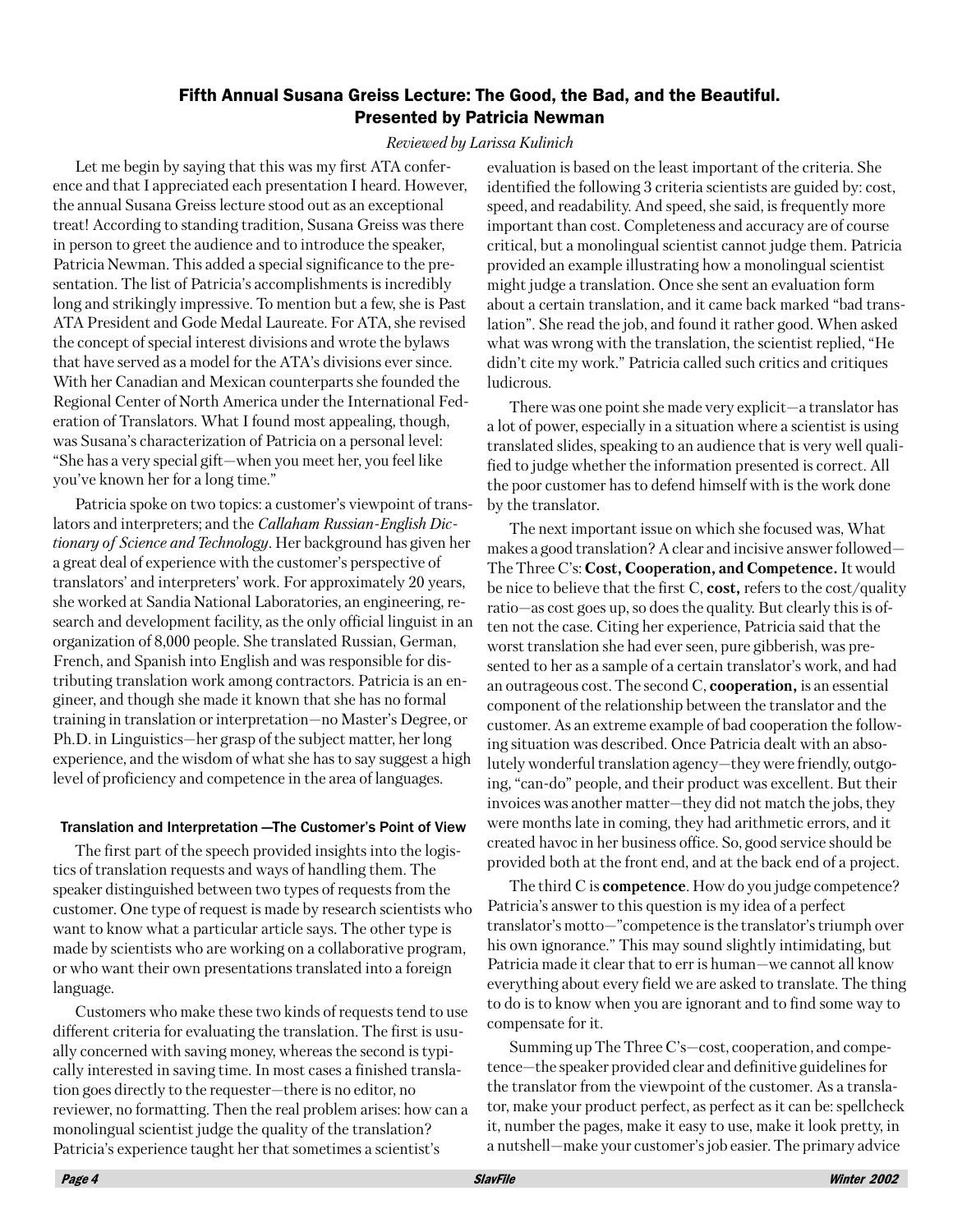## Fifth Annual Susana Greiss Lecture: The Good, the Bad, and the Beautiful. **Presented by Patricia Newman**

#### Reviewed by Larissa Kulinich

Let me begin by saying that this was my first ATA conference and that I appreciated each presentation I heard. However, the annual Susana Greiss lecture stood out as an exceptional treat! According to standing tradition, Susana Greiss was there in person to greet the audience and to introduce the speaker, Patricia Newman. This added a special significance to the presentation. The list of Patricia's accomplishments is incredibly long and strikingly impressive. To mention but a few, she is Past ATA President and Gode Medal Laureate. For ATA, she revised the concept of special interest divisions and wrote the bylaws that have served as a model for the ATA's divisions ever since. With her Canadian and Mexican counterparts she founded the Regional Center of North America under the International Federation of Translators. What I found most appealing, though, was Susana's characterization of Patricia on a personal level: "She has a very special gift—when you meet her, you feel like you've known her for a long time."

Patricia spoke on two topics: a customer's viewpoint of translators and interpreters; and the *Callaham Russian-English Dictionary of Science and Technology.* Her background has given her a great deal of experience with the customer's perspective of translators' and interpreters' work. For approximately 20 years, she worked at Sandia National Laboratories, an engineering, research and development facility, as the only official linguist in an organization of 8,000 people. She translated Russian, German, French, and Spanish into English and was responsible for distributing translation work among contractors. Patricia is an engineer, and though she made it known that she has no formal training in translation or interpretation—no Master's Degree, or Ph.D. in Linguistics—her grasp of the subject matter, her long experience, and the wisdom of what she has to say suggest a high level of proficiency and competence in the area of languages.

#### Translation and Interpretation - The Customer's Point of View

The first part of the speech provided insights into the logistics of translation requests and ways of handling them. The speaker distinguished between two types of requests from the customer. One type of request is made by research scientists who want to know what a particular article says. The other type is made by scientists who are working on a collaborative program, or who want their own presentations translated into a foreign language.

Customers who make these two kinds of requests tend to use different criteria for evaluating the translation. The first is usually concerned with saving money, whereas the second is typically interested in saving time. In most cases a finished translation goes directly to the requester—there is no editor, no reviewer, no formatting. Then the real problem arises: how can a monolingual scientist judge the quality of the translation? Patricia's experience taught her that sometimes a scientist's

evaluation is based on the least important of the criteria. She identified the following 3 criteria scientists are guided by: cost, speed, and readability. And speed, she said, is frequently more important than cost. Completeness and accuracy are of course critical, but a monolingual scientist cannot judge them. Patricia provided an example illustrating how a monolingual scientist might judge a translation. Once she sent an evaluation form about a certain translation, and it came back marked "bad translation". She read the job, and found it rather good. When asked what was wrong with the translation, the scientist replied, "He didn't cite my work." Patricia called such critics and critiques ludicrous.

There was one point she made very explicit—a translator has a lot of power, especially in a situation where a scientist is using translated slides, speaking to an audience that is very well qualified to judge whether the information presented is correct. All the poor customer has to defend himself with is the work done by the translator.

The next important issue on which she focused was, What makes a good translation? A clear and incisive answer followed— The Three C's: Cost, Cooperation, and Competence. It would be nice to believe that the first C, cost, refers to the cost/quality ratio—as cost goes up, so does the quality. But clearly this is often not the case. Citing her experience, Patricia said that the worst translation she had ever seen, pure gibberish, was presented to her as a sample of a certain translator's work, and had an outrageous cost. The second  $C$ , **cooperation**, is an essential component of the relationship between the translator and the customer. As an extreme example of bad cooperation the following situation was described. Once Patricia dealt with an absolutely wonderful translation agency—they were friendly, outgoing, "can-do" people, and their product was excellent. But their invoices was another matter-they did not match the jobs, they were months late in coming, they had arithmetic errors, and it created havoc in her business office. So, good service should be provided both at the front end, and at the back end of a project.

The third C is **competence**. How do you judge competence? Patricia's answer to this question is my idea of a perfect translator's motto-"competence is the translator's triumph over his own ignorance." This may sound slightly intimidating, but Patricia made it clear that to err is human-we cannot all know everything about every field we are asked to translate. The thing to do is to know when you are ignorant and to find some way to compensate for it.

Summing up The Three C's-cost, cooperation, and competence—the speaker provided clear and definitive guidelines for the translator from the viewpoint of the customer. As a translator, make your product perfect, as perfect as it can be: spellcheck it, number the pages, make it easy to use, make it look pretty, in a nutshell—make your customer's job easier. The primary advice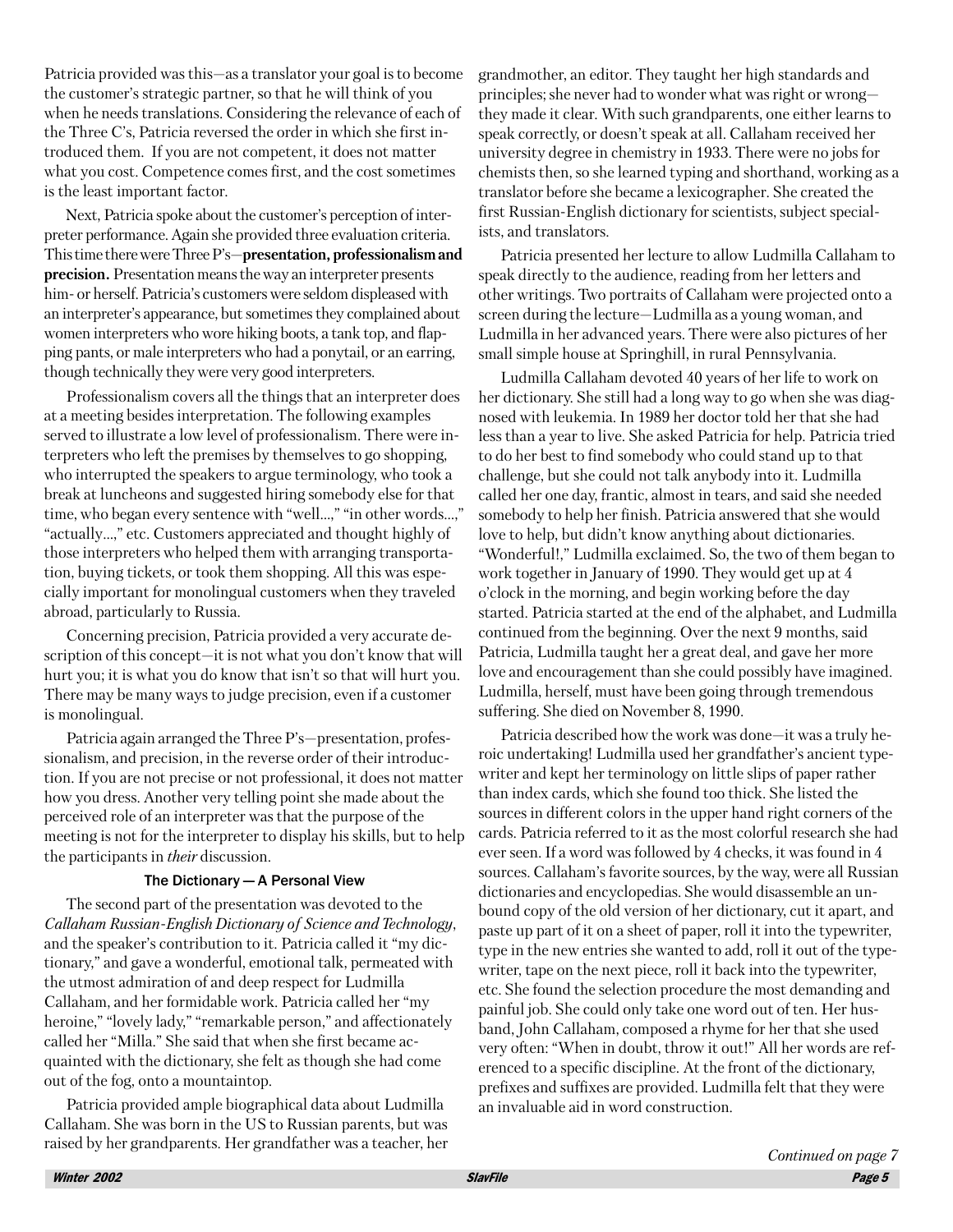Patricia provided was this—as a translator your goal is to become the customer's strategic partner, so that he will think of you when he needs translations. Considering the relevance of each of the Three C's, Patricia reversed the order in which she first introduced them. If you are not competent, it does not matter what you cost. Competence comes first, and the cost sometimes is the least important factor.

Next, Patricia spoke about the customer's perception of interpreter performance. Again she provided three evaluation criteria. This time there were Three P's-presentation, professionalism and precision. Presentation means the way an interpreter presents him- or herself. Patricia's customers were seldom displeased with an interpreter's appearance, but sometimes they complained about women interpreters who wore hiking boots, a tank top, and flapping pants, or male interpreters who had a ponytail, or an earring, though technically they were very good interpreters.

Professionalism covers all the things that an interpreter does at a meeting besides interpretation. The following examples served to illustrate a low level of professionalism. There were interpreters who left the premises by themselves to go shopping, who interrupted the speakers to argue terminology, who took a break at luncheons and suggested hiring somebody else for that time, who began every sentence with "well...," "in other words...," "actually...," etc. Customers appreciated and thought highly of those interpreters who helped them with arranging transportation, buying tickets, or took them shopping. All this was especially important for monolingual customers when they traveled abroad, particularly to Russia.

Concerning precision, Patricia provided a very accurate description of this concept-it is not what you don't know that will hurt you; it is what you do know that isn't so that will hurt you. There may be many ways to judge precision, even if a customer is monolingual.

Patricia again arranged the Three P's-presentation, professionalism, and precision, in the reverse order of their introduction. If you are not precise or not professional, it does not matter how you dress. Another very telling point she made about the perceived role of an interpreter was that the purpose of the meeting is not for the interpreter to display his skills, but to help the participants in *their* discussion.

#### The Dictionary - A Personal View

The second part of the presentation was devoted to the Callaham Russian-English Dictionary of Science and Technology, and the speaker's contribution to it. Patricia called it "my dictionary," and gave a wonderful, emotional talk, permeated with the utmost admiration of and deep respect for Ludmilla Callaham, and her formidable work. Patricia called her "my heroine," "lovely lady," "remarkable person," and affectionately called her "Milla." She said that when she first became acquainted with the dictionary, she felt as though she had come out of the fog, onto a mountaintop.

Patricia provided ample biographical data about Ludmilla Callaham. She was born in the US to Russian parents, but was raised by her grandparents. Her grandfather was a teacher, her grandmother, an editor. They taught her high standards and principles; she never had to wonder what was right or wrongthey made it clear. With such grandparents, one either learns to speak correctly, or doesn't speak at all. Callaham received her university degree in chemistry in 1933. There were no jobs for chemists then, so she learned typing and shorthand, working as a translator before she became a lexicographer. She created the first Russian-English dictionary for scientists, subject specialists, and translators.

Patricia presented her lecture to allow Ludmilla Callaham to speak directly to the audience, reading from her letters and other writings. Two portraits of Callaham were projected onto a screen during the lecture—Ludmilla as a young woman, and Ludmilla in her advanced years. There were also pictures of her small simple house at Springhill, in rural Pennsylvania.

Ludmilla Callaham devoted 40 years of her life to work on her dictionary. She still had a long way to go when she was diagnosed with leukemia. In 1989 her doctor told her that she had less than a year to live. She asked Patricia for help. Patricia tried to do her best to find somebody who could stand up to that challenge, but she could not talk anybody into it. Ludmilla called her one day, frantic, almost in tears, and said she needed somebody to help her finish. Patricia answered that she would love to help, but didn't know anything about dictionaries. "Wonderful!," Ludmilla exclaimed. So, the two of them began to work together in January of 1990. They would get up at 4 o'clock in the morning, and begin working before the day started. Patricia started at the end of the alphabet, and Ludmilla continued from the beginning. Over the next 9 months, said Patricia, Ludmilla taught her a great deal, and gave her more love and encouragement than she could possibly have imagined. Ludmilla, herself, must have been going through tremendous suffering. She died on November 8, 1990.

Patricia described how the work was done-it was a truly heroic undertaking! Ludmilla used her grandfather's ancient typewriter and kept her terminology on little slips of paper rather than index cards, which she found too thick. She listed the sources in different colors in the upper hand right corners of the cards. Patricia referred to it as the most colorful research she had ever seen. If a word was followed by 4 checks, it was found in 4 sources. Callaham's favorite sources, by the way, were all Russian dictionaries and encyclopedias. She would disassemble an unbound copy of the old version of her dictionary, cut it apart, and paste up part of it on a sheet of paper, roll it into the typewriter, type in the new entries she wanted to add, roll it out of the typewriter, tape on the next piece, roll it back into the typewriter, etc. She found the selection procedure the most demanding and painful job. She could only take one word out of ten. Her husband, John Callaham, composed a rhyme for her that she used very often: "When in doubt, throw it out!" All her words are referenced to a specific discipline. At the front of the dictionary, prefixes and suffixes are provided. Ludmilla felt that they were an invaluable aid in word construction.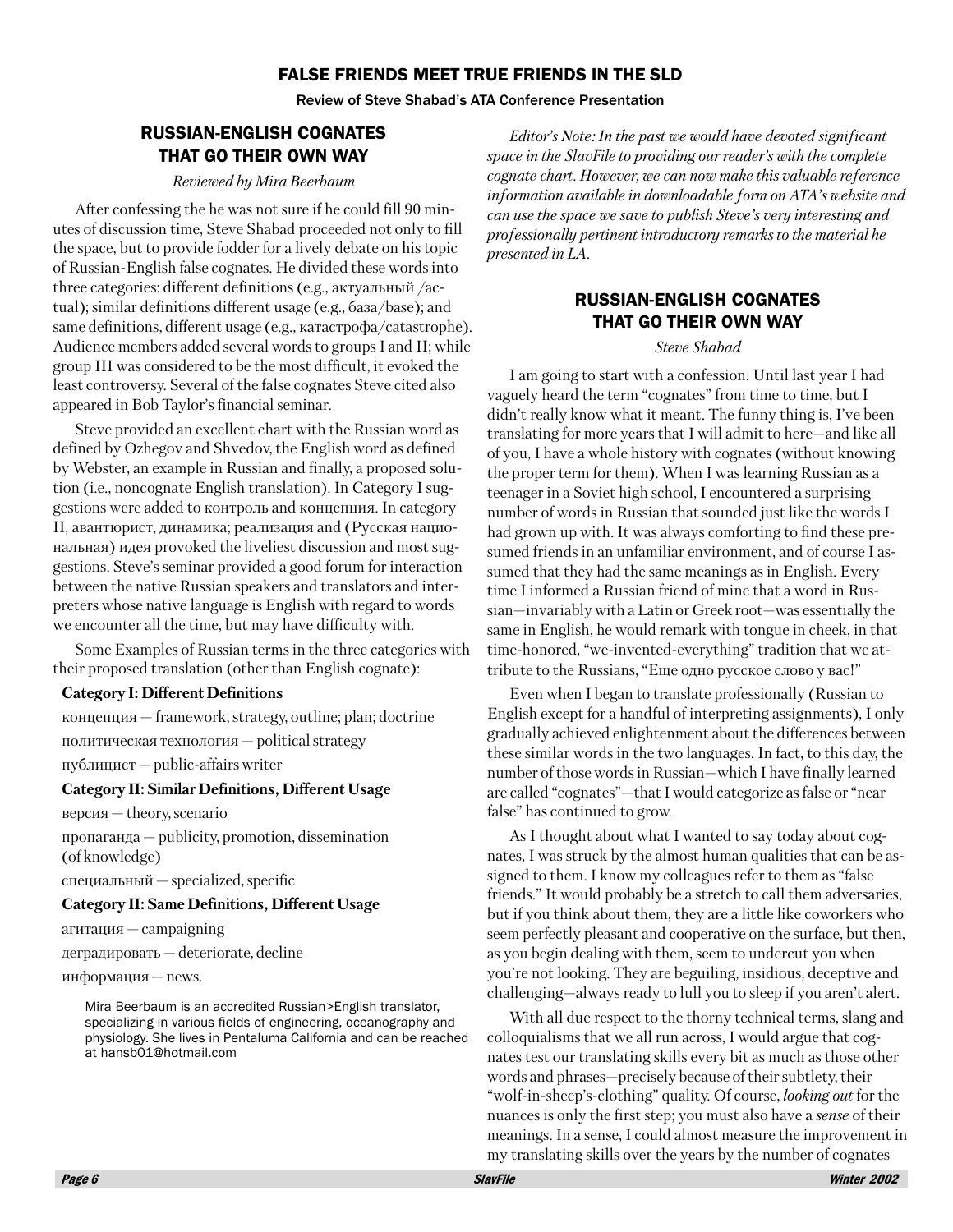## **FALSE FRIENDS MEET TRUE FRIENDS IN THE SLD**

**Review of Steve Shabad's ATA Conference Presentation** 

## **RUSSIAN-ENGLISH COGNATES THAT GO THEIR OWN WAY**

#### Reviewed by Mira Beerbaum

After confessing the he was not sure if he could fill 90 minutes of discussion time, Steve Shabad proceeded not only to fill the space, but to provide fodder for a lively debate on his topic of Russian-English false cognates. He divided these words into three categories: different definitions (е.g., актуальный /асtual); similar definitions different usage (e.g., 6a3a/base); and same definitions, different usage (e.g., катастрофа/catastrophe). Audience members added several words to groups I and II; while group III was considered to be the most difficult, it evoked the least controversy. Several of the false cognates Steve cited also appeared in Bob Taylor's financial seminar.

Steve provided an excellent chart with the Russian word as defined by Ozhegov and Shvedov, the English word as defined by Webster, an example in Russian and finally, a proposed solution (i.e., noncognate English translation). In Category I suggestions were added to контроль and концепция. In category II, авантюрист, динамика; реализация and (Русская национальная) идея provoked the liveliest discussion and most suggestions. Steve's seminar provided a good forum for interaction between the native Russian speakers and translators and interpreters whose native language is English with regard to words we encounter all the time, but may have difficulty with.

Some Examples of Russian terms in the three categories with their proposed translation (other than English cognate):

#### **Category I: Different Definitions**

концепция - framework, strategy, outline; plan; doctrine

политическая технология  $-$  political strategy

публицист — public-affairs writer

#### **Category II: Similar Definitions, Different Usage**

версия — theory, scenario

пропаганда  $-$  publicity, promotion, dissemination (of knowledge)

 $c$ пециальный — specialized, specific

#### **Category II: Same Definitions, Different Usage**

 $\arctan\mu s - \text{comparing}$ 

деградировать — deteriorate, decline

информация - news.

Mira Beerbaum is an accredited Russian>English translator, specializing in various fields of engineering, oceanography and physiology. She lives in Pentaluma California and can be reached at hansb01@hotmail.com

Editor's Note: In the past we would have devoted significant space in the SlavFile to providing our reader's with the complete cognate chart. However, we can now make this valuable reference information available in downloadable form on ATA's website and can use the space we save to publish Steve's very interesting and professionally pertinent introductory remarks to the material he presented in LA.

## **RUSSIAN-ENGLISH COGNATES THAT GO THEIR OWN WAY**

#### Steve Shabad

I am going to start with a confession. Until last year I had vaguely heard the term "cognates" from time to time, but I didn't really know what it meant. The funny thing is, I've been translating for more years that I will admit to here—and like all of you, I have a whole history with cognates (without knowing the proper term for them). When I was learning Russian as a teenager in a Soviet high school, I encountered a surprising number of words in Russian that sounded just like the words I had grown up with. It was always comforting to find these presumed friends in an unfamiliar environment, and of course I assumed that they had the same meanings as in English. Every time I informed a Russian friend of mine that a word in Russian-invariably with a Latin or Greek root-was essentially the same in English, he would remark with tongue in cheek, in that time-honored, "we-invented-everything" tradition that we attribute to the Russians, "Еще одно русское слово у вас!"

Even when I began to translate professionally (Russian to English except for a handful of interpreting assignments), I only gradually achieved enlightenment about the differences between these similar words in the two languages. In fact, to this day, the number of those words in Russian-which I have finally learned are called "cognates"—that I would categorize as false or "near" false" has continued to grow.

As I thought about what I wanted to say today about cognates, I was struck by the almost human qualities that can be assigned to them. I know my colleagues refer to them as "false" friends." It would probably be a stretch to call them adversaries, but if you think about them, they are a little like coworkers who seem perfectly pleasant and cooperative on the surface, but then, as you begin dealing with them, seem to undercut you when you're not looking. They are beguiling, insidious, deceptive and challenging-always ready to lull you to sleep if you aren't alert.

With all due respect to the thorny technical terms, slang and colloquialisms that we all run across, I would argue that cognates test our translating skills every bit as much as those other words and phrases-precisely because of their subtlety, their "wolf-in-sheep's-clothing" quality. Of course, looking out for the nuances is only the first step; you must also have a *sense* of their meanings. In a sense, I could almost measure the improvement in my translating skills over the years by the number of cognates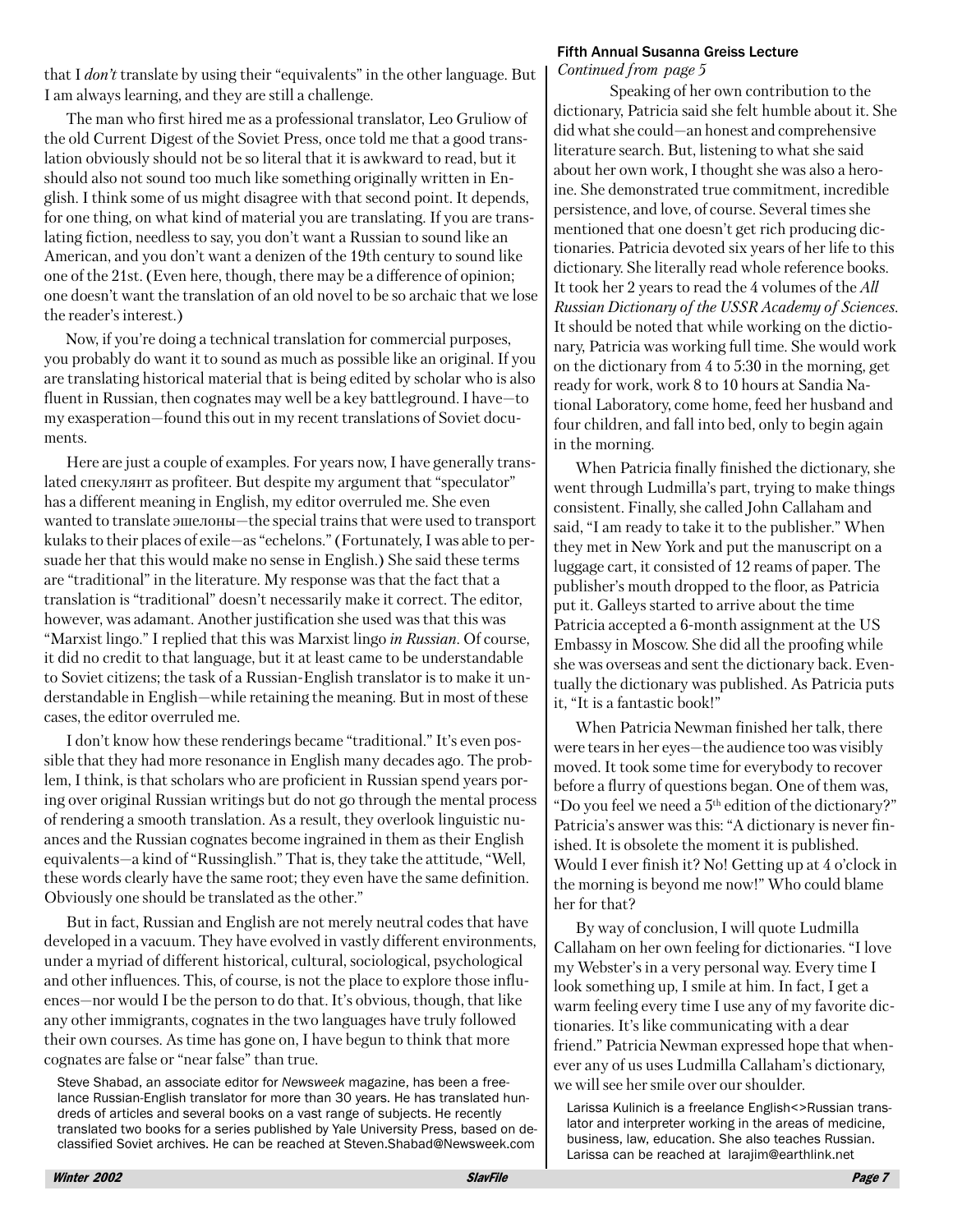that I don't translate by using their "equivalents" in the other language. But I am always learning, and they are still a challenge.

The man who first hired me as a professional translator, Leo Gruliow of the old Current Digest of the Soviet Press, once told me that a good translation obviously should not be so literal that it is awkward to read, but it should also not sound too much like something originally written in English. I think some of us might disagree with that second point. It depends, for one thing, on what kind of material you are translating. If you are translating fiction, needless to say, you don't want a Russian to sound like an American, and you don't want a denizen of the 19th century to sound like one of the 21st. (Even here, though, there may be a difference of opinion; one doesn't want the translation of an old novel to be so archaic that we lose the reader's interest.)

Now, if you're doing a technical translation for commercial purposes, you probably do want it to sound as much as possible like an original. If you are translating historical material that is being edited by scholar who is also fluent in Russian, then cognates may well be a key battleground. I have—to my exasperation—found this out in my recent translations of Soviet documents.

Here are just a couple of examples. For years now, I have generally translated спекулянт as profiteer. But despite my argument that "speculator" has a different meaning in English, my editor overruled me. She even wanted to translate эшелоны—the special trains that were used to transport kulaks to their places of exile—as "echelons." (Fortunately, I was able to persuade her that this would make no sense in English.) She said these terms are "traditional" in the literature. My response was that the fact that a translation is "traditional" doesn't necessarily make it correct. The editor, however, was adamant. Another justification she used was that this was "Marxist lingo." I replied that this was Marxist lingo in Russian. Of course, it did no credit to that language, but it at least came to be understandable to Soviet citizens; the task of a Russian-English translator is to make it understandable in English—while retaining the meaning. But in most of these cases, the editor overruled me.

I don't know how these renderings became "traditional." It's even possible that they had more resonance in English many decades ago. The problem, I think, is that scholars who are proficient in Russian spend years poring over original Russian writings but do not go through the mental process of rendering a smooth translation. As a result, they overlook linguistic nuances and the Russian cognates become ingrained in them as their English equivalents—a kind of "Russinglish." That is, they take the attitude, "Well, these words clearly have the same root; they even have the same definition. Obviously one should be translated as the other."

But in fact, Russian and English are not merely neutral codes that have developed in a vacuum. They have evolved in vastly different environments, under a myriad of different historical, cultural, sociological, psychological and other influences. This, of course, is not the place to explore those influences—nor would I be the person to do that. It's obvious, though, that like any other immigrants, cognates in the two languages have truly followed their own courses. As time has gone on, I have begun to think that more cognates are false or "near false" than true.

Steve Shabad, an associate editor for Newsweek magazine, has been a freelance Russian-English translator for more than 30 years. He has translated hundreds of articles and several books on a vast range of subjects. He recently translated two books for a series published by Yale University Press, based on declassified Soviet archives. He can be reached at Steven. Shabad@Newsweek.com

#### **Fifth Annual Susanna Greiss Lecture**

Continued from page 5

Speaking of her own contribution to the dictionary, Patricia said she felt humble about it. She did what she could—an honest and comprehensive literature search. But, listening to what she said about her own work, I thought she was also a heroine. She demonstrated true commitment, incredible persistence, and love, of course. Several times she mentioned that one doesn't get rich producing dictionaries. Patricia devoted six years of her life to this dictionary. She literally read whole reference books. It took her 2 years to read the 4 volumes of the All Russian Dictionary of the USSR Academy of Sciences. It should be noted that while working on the dictionary, Patricia was working full time. She would work on the dictionary from 4 to 5:30 in the morning, get ready for work, work 8 to 10 hours at Sandia National Laboratory, come home, feed her husband and four children, and fall into bed, only to begin again in the morning.

When Patricia finally finished the dictionary, she went through Ludmilla's part, trying to make things consistent. Finally, she called John Callaham and said, "I am ready to take it to the publisher." When they met in New York and put the manuscript on a luggage cart, it consisted of 12 reams of paper. The publisher's mouth dropped to the floor, as Patricia put it. Galleys started to arrive about the time Patricia accepted a 6-month assignment at the US Embassy in Moscow. She did all the proofing while she was overseas and sent the dictionary back. Eventually the dictionary was published. As Patricia puts it, "It is a fantastic book!"

When Patricia Newman finished her talk, there were tears in her eves—the audience too was visibly moved. It took some time for everybody to recover before a flurry of questions began. One of them was, "Do you feel we need a 5<sup>th</sup> edition of the dictionary?" Patricia's answer was this: "A dictionary is never finished. It is obsolete the moment it is published. Would I ever finish it? No! Getting up at 4 o'clock in the morning is beyond me now!" Who could blame her for that?

By way of conclusion, I will quote Ludmilla Callaham on her own feeling for dictionaries. "I love my Webster's in a very personal way. Every time I look something up, I smile at him. In fact, I get a warm feeling every time I use any of my favorite dictionaries. It's like communicating with a dear friend." Patricia Newman expressed hope that whenever any of us uses Ludmilla Callaham's dictionary, we will see her smile over our shoulder.

Larissa Kulinich is a freelance English<>Russian translator and interpreter working in the areas of medicine, business, law, education. She also teaches Russian. Larissa can be reached at larajim@earthlink.net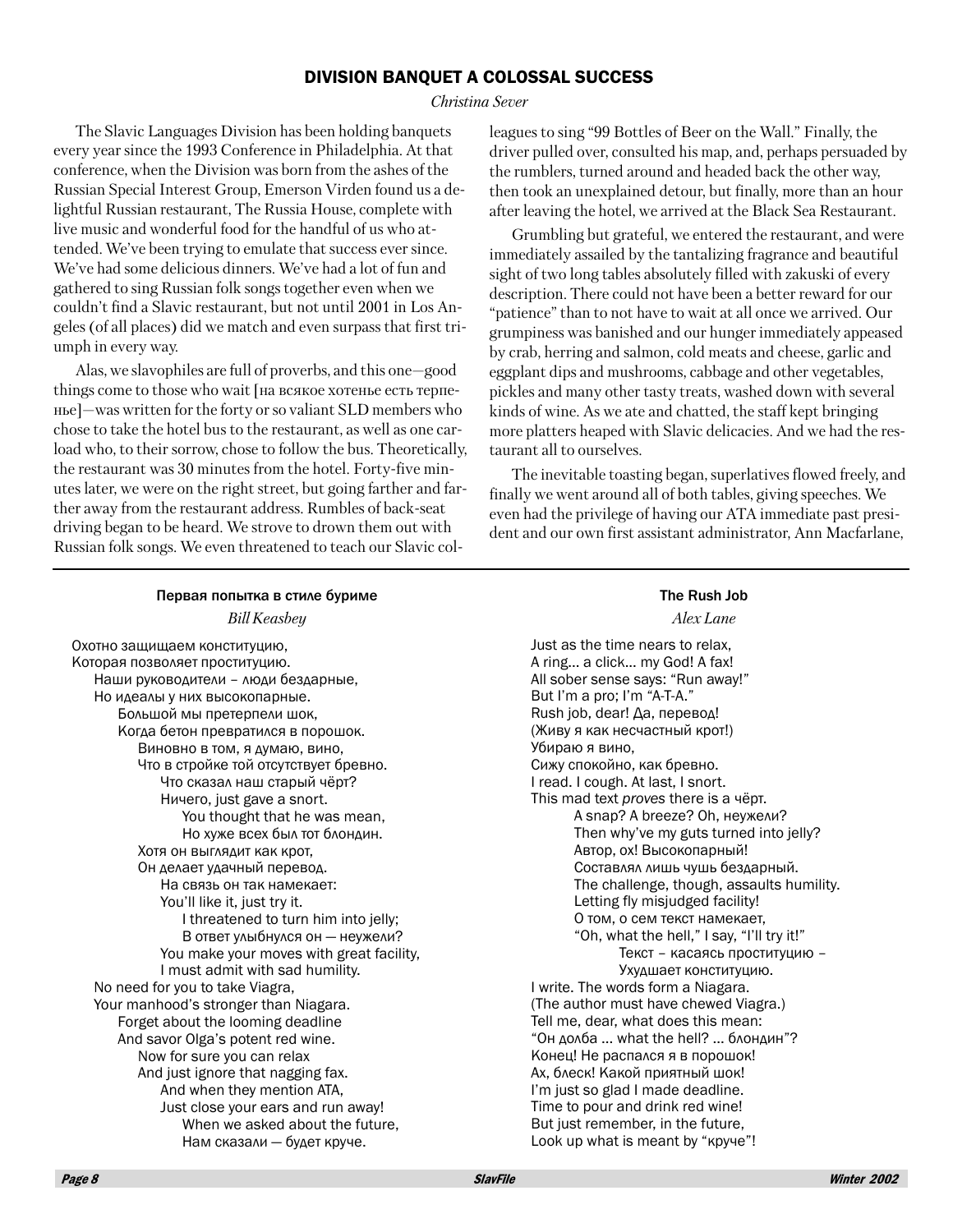#### **DIVISION BANQUET A COLOSSAL SUCCESS**

#### Christina Sever

The Slavic Languages Division has been holding banquets every year since the 1993 Conference in Philadelphia. At that conference, when the Division was born from the ashes of the Russian Special Interest Group, Emerson Virden found us a delightful Russian restaurant, The Russia House, complete with live music and wonderful food for the handful of us who attended. We've been trying to emulate that success ever since. We've had some delicious dinners. We've had a lot of fun and gathered to sing Russian folk songs together even when we couldn't find a Slavic restaurant, but not until 2001 in Los Angeles (of all places) did we match and even surpass that first triumph in every way.

Alas, we slavophiles are full of proverbs, and this one-good things come to those who wait [на всякое хотенье есть терпенье]—was written for the forty or so valiant SLD members who chose to take the hotel bus to the restaurant, as well as one carload who, to their sorrow, chose to follow the bus. Theoretically, the restaurant was 30 minutes from the hotel. Forty-five minutes later, we were on the right street, but going farther and farther away from the restaurant address. Rumbles of back-seat driving began to be heard. We strove to drown them out with Russian folk songs. We even threatened to teach our Slavic colleagues to sing "99 Bottles of Beer on the Wall." Finally, the driver pulled over, consulted his map, and, perhaps persuaded by the rumblers, turned around and headed back the other way, then took an unexplained detour, but finally, more than an hour after leaving the hotel, we arrived at the Black Sea Restaurant.

Grumbling but grateful, we entered the restaurant, and were immediately assailed by the tantalizing fragrance and beautiful sight of two long tables absolutely filled with zakuski of every description. There could not have been a better reward for our "patience" than to not have to wait at all once we arrived. Our grumpiness was banished and our hunger immediately appeased by crab, herring and salmon, cold meats and cheese, garlic and eggplant dips and mushrooms, cabbage and other vegetables, pickles and many other tasty treats, washed down with several kinds of wine. As we ate and chatted, the staff kept bringing more platters heaped with Slavic delicacies. And we had the restaurant all to ourselves.

The inevitable toasting began, superlatives flowed freely, and finally we went around all of both tables, giving speeches. We even had the privilege of having our ATA immediate past president and our own first assistant administrator. Ann Macfarlane.

 $\sim$   $\sim$   $\sim$ 

| Первая попытка в стиле буриме            | The Rush Job                               |
|------------------------------------------|--------------------------------------------|
| <b>Bill Keasbey</b>                      | Alex Lane                                  |
| Охотно защищаем конституцию,             | Just as the time nears to relax,           |
| Которая позволяет проституцию.           | A ring a click my God! A fax!              |
| Наши руководители – люди бездарные,      | All sober sense says: "Run away!"          |
| Но идеалы у них высокопарные.            | But I'm a pro; I'm "A-T-A."                |
| Большой мы претерпели шок,               | Rush job, dear! Да, перевод!               |
| Когда бетон превратился в порошок.       | (Живу я как несчастный крот!)              |
| Виновно в том, я думаю, вино,            | Убираю я вино,                             |
| Что в стройке той отсутствует бревно.    | Сижу спокойно, как бревно.                 |
| Что сказал наш старый чёрт?              | I read. I cough. At last, I snort.         |
| Ничего, just gave a snort.               | This mad text proves there is a чёрт.      |
| You thought that he was mean,            | A snap? A breeze? Oh, неужели?             |
| Но хуже всех был тот блондин.            | Then why've my guts turned into jelly?     |
| Хотя он выглядит как крот,               | Автор, ох! Высокопарный!                   |
| Он делает удачный перевод.               | Составлял лишь чушь бездарный.             |
| На связь он так намекает:                | The challenge, though, assaults humility.  |
| You'll like it, just try it.             | Letting fly misjudged facility!            |
| I threatened to turn him into jelly;     | О том, о сем текст намекает,               |
| В ответ улыбнулся он - неужели?          | "Oh, what the hell," I say, "I'll try it!" |
| You make your moves with great facility, | Текст - касаясь проституцию -              |
| I must admit with sad humility.          | Ухудшает конституцию.                      |
| No need for you to take Viagra,          | I write. The words form a Niagara.         |
| Your manhood's stronger than Niagara.    | (The author must have chewed Viagra.)      |
| Forget about the looming deadline        | Tell me, dear, what does this mean:        |
| And savor Olga's potent red wine.        | "Он долба  what the hell?  блондин"?       |
| Now for sure you can relax               | Конец! Не распался я в порошок!            |
| And just ignore that nagging fax.        | Ах, блеск! Какой приятный шок!             |
| And when they mention ATA,               | I'm just so glad I made deadline.          |
| Just close your ears and run away!       | Time to pour and drink red wine!           |
| When we asked about the future,          | But just remember, in the future,          |
| Нам сказали – будет круче.               | Look up what is meant by "круче"!          |
|                                          |                                            |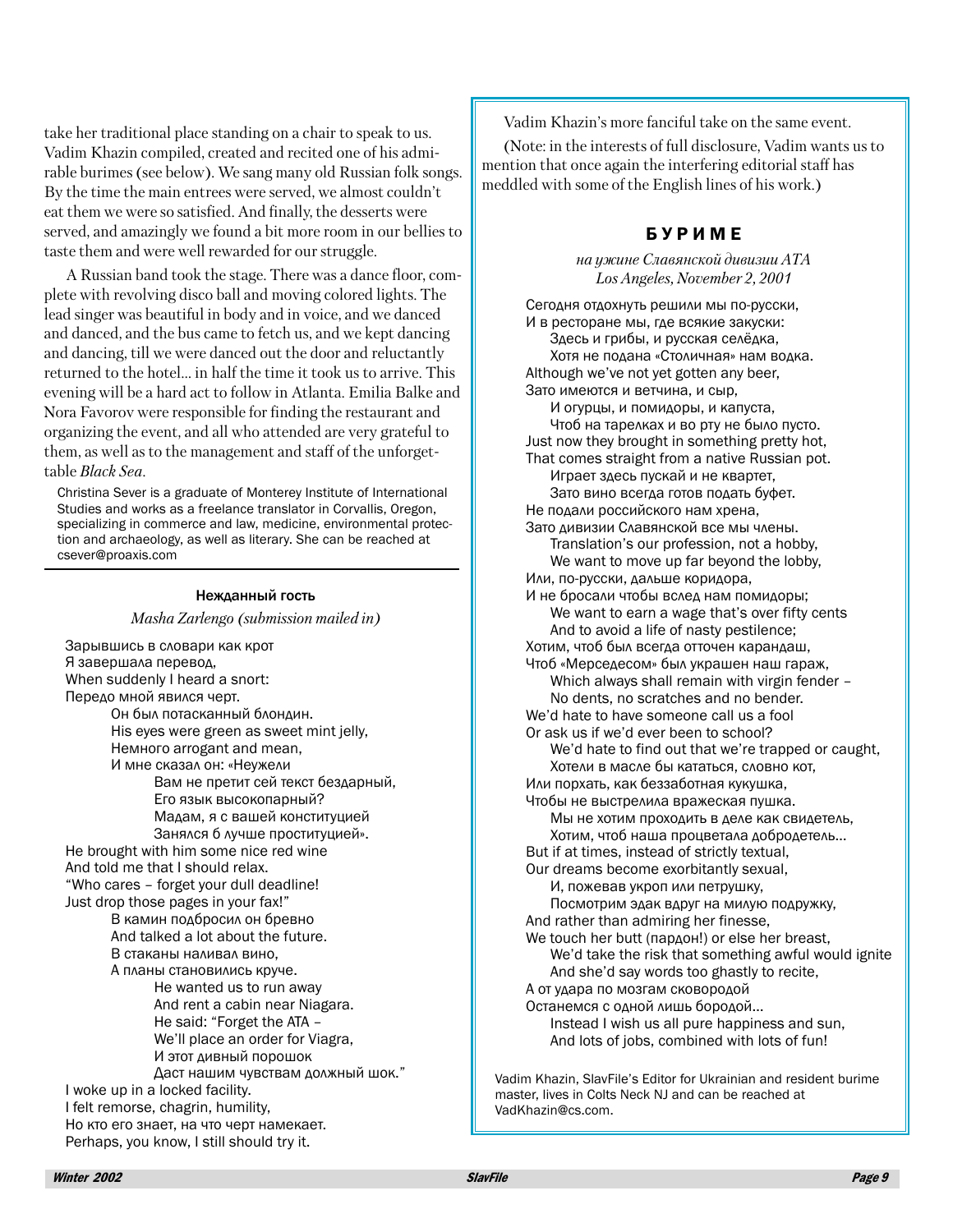take her traditional place standing on a chair to speak to us. Vadim Khazin compiled, created and recited one of his admirable burimes (see below). We sang many old Russian folk songs. By the time the main entrees were served, we almost couldn't eat them we were so satisfied. And finally, the desserts were served, and amazingly we found a bit more room in our bellies to taste them and were well rewarded for our struggle.

A Russian band took the stage. There was a dance floor, complete with revolving disco ball and moving colored lights. The lead singer was beautiful in body and in voice, and we danced and danced, and the bus came to fetch us, and we kept dancing and dancing, till we were danced out the door and reluctantly returned to the hotel... in half the time it took us to arrive. This evening will be a hard act to follow in Atlanta. Emilia Balke and Nora Favorov were responsible for finding the restaurant and organizing the event, and all who attended are very grateful to them, as well as to the management and staff of the unforgettable Black Sea.

Christina Sever is a graduate of Monterey Institute of International Studies and works as a freelance translator in Corvallis, Oregon, specializing in commerce and law, medicine, environmental protection and archaeology, as well as literary. She can be reached at csever@proaxis.com

#### Нежданный гость

Masha Zarlengo (submission mailed in)

Зарывшись в словари как крот Я завершала перевод. When suddenly I heard a snort: Передо мной явился черт. Он был потасканный блондин. His eves were green as sweet mint jelly. Немного arrogant and mean. И мне сказал он: «Неужели Вам не претит сей текст бездарный, Его язык высокопарный? Мадам, я с вашей конституцией Занялся б лучше проституцией». He brought with him some nice red wine And told me that I should relax. "Who cares - forget your dull deadline! Just drop those pages in your fax!" В камин подбросил он бревно And talked a lot about the future. В стаканы наливал вино. А планы становились круче. He wanted us to run away And rent a cabin near Niagara. He said: "Forget the ATA -We'll place an order for Viagra. И этот дивный порошок Даст нашим чувствам должный шок." I woke up in a locked facility. I felt remorse, chagrin, humility. Но кто его знает, на что черт намекает. Perhaps, you know, I still should try it.

Vadim Khazin's more fanciful take on the same event.

(Note: in the interests of full disclosure, Vadim wants us to mention that once again the interfering editorial staff has meddled with some of the English lines of his work.)

## **БУРИМЕ**

на ужине Славянской дивизии АТА Los Angeles, November 2, 2001

Сегодня отдохнуть решили мы по-русски, И в ресторане мы, где всякие закуски: Здесь и грибы, и русская селёдка, Хотя не подана «Столичная» нам водка. Although we've not yet gotten any beer, Зато имеются и ветчина, и сыр. И огурцы, и помидоры, и капуста, Чтоб на тарелках и во рту не было пусто. Just now they brought in something pretty hot, That comes straight from a native Russian pot. Играет здесь пускай и не квартет, Зато вино всегда готов подать буфет. Не подали российского нам хрена, Зато дивизии Славянской все мы члены. Translation's our profession, not a hobby, We want to move up far beyond the lobby, Или, по-русски, дальше коридора, И не бросали чтобы вслед нам помидоры: We want to earn a wage that's over fifty cents And to avoid a life of nasty pestilence; Хотим, чтоб был всегда отточен карандаш, Чтоб «Мерседесом» был украшен наш гараж, Which always shall remain with virgin fender -No dents, no scratches and no bender. We'd hate to have someone call us a fool Or ask us if we'd ever been to school? We'd hate to find out that we're trapped or caught, Хотели в масле бы кататься, словно кот, Или порхать, как беззаботная кукушка, Чтобы не выстрелила вражеская пушка. Мы не хотим проходить в деле как свидетель, Хотим, чтоб наша процветала добродетель... But if at times, instead of strictly textual, Our dreams become exorbitantly sexual, И, пожевав укроп или петрушку, Посмотрим эдак вдруг на милую подружку, And rather than admiring her finesse, We touch her butt (пардон!) or else her breast, We'd take the risk that something awful would ignite And she'd say words too ghastly to recite, А от удара по мозгам сковородой Останемся с одной лишь бородой... Instead I wish us all pure happiness and sun, And lots of jobs, combined with lots of fun!

Vadim Khazin, SlavFile's Editor for Ukrainian and resident burime master, lives in Colts Neck NJ and can be reached at VadKhazin@cs.com.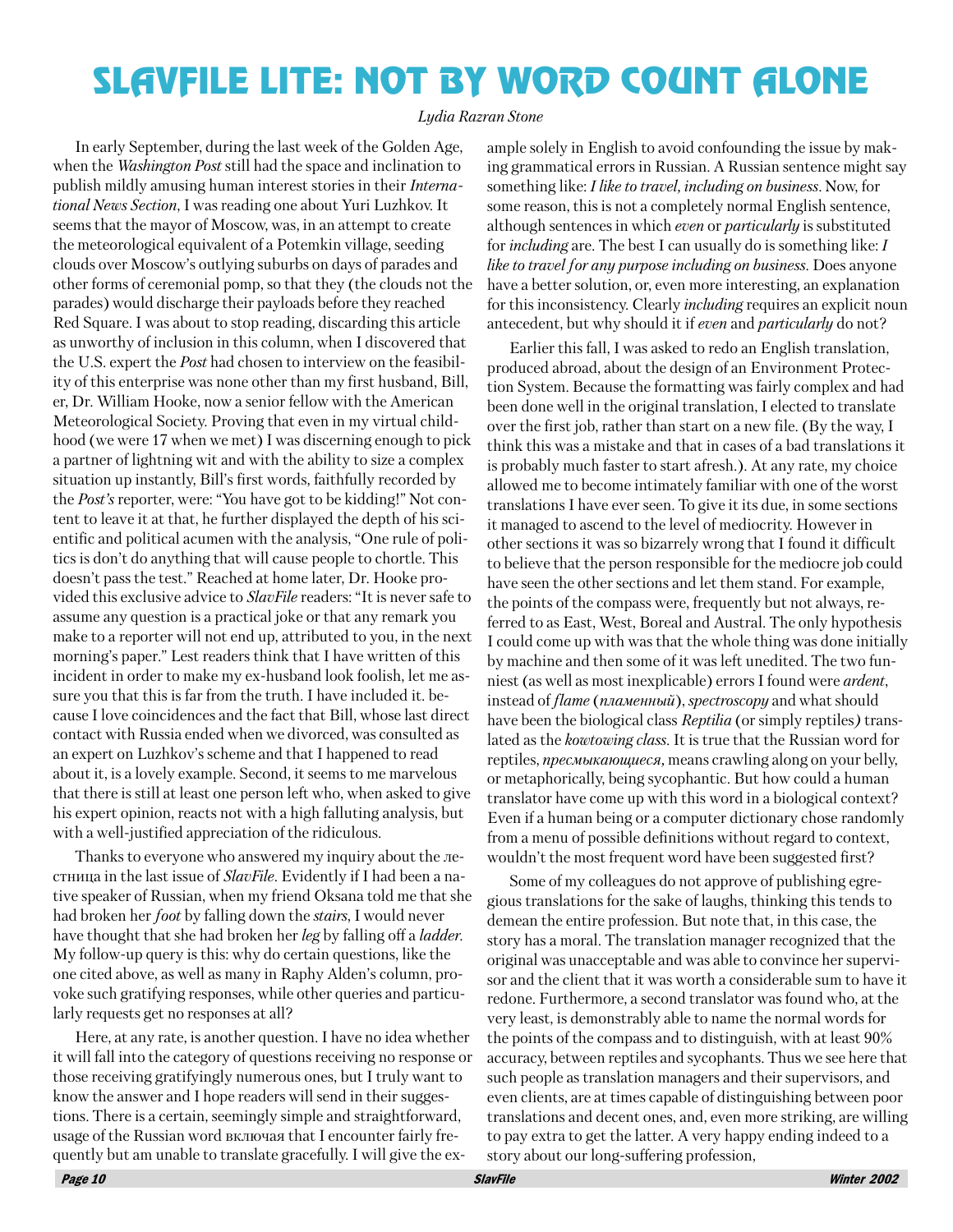## **SLAVFILE LITE: NOT BY WORD COUNT ALONE**

#### Lydia Razran Stone

In early September, during the last week of the Golden Age, when the Washington Post still had the space and inclination to publish mildly amusing human interest stories in their *Interna*tional News Section, I was reading one about Yuri Luzhkov. It seems that the mayor of Moscow, was, in an attempt to create the meteorological equivalent of a Potemkin village, seeding clouds over Moscow's outlying suburbs on days of parades and other forms of ceremonial pomp, so that they (the clouds not the parades) would discharge their payloads before they reached Red Square. I was about to stop reading, discarding this article as unworthy of inclusion in this column, when I discovered that the U.S. expert the *Post* had chosen to interview on the feasibility of this enterprise was none other than my first husband, Bill, er, Dr. William Hooke, now a senior fellow with the American Meteorological Society. Proving that even in my virtual childhood (we were 17 when we met) I was discerning enough to pick a partner of lightning wit and with the ability to size a complex situation up instantly, Bill's first words, faithfully recorded by the *Post's* reporter, were: "You have got to be kidding!" Not content to leave it at that, he further displayed the depth of his scientific and political acumen with the analysis, "One rule of politics is don't do anything that will cause people to chortle. This doesn't pass the test." Reached at home later, Dr. Hooke provided this exclusive advice to *SlavFile* readers: "It is never safe to assume any question is a practical joke or that any remark you make to a reporter will not end up, attributed to you, in the next morning's paper." Lest readers think that I have written of this incident in order to make my ex-husband look foolish, let me assure you that this is far from the truth. I have included it. because I love coincidences and the fact that Bill, whose last direct contact with Russia ended when we divorced, was consulted as an expert on Luzhkov's scheme and that I happened to read about it, is a lovely example. Second, it seems to me marvelous that there is still at least one person left who, when asked to give his expert opinion, reacts not with a high falluting analysis, but with a well-justified appreciation of the ridiculous.

Thanks to everyone who answered my inquiry about the *n*eстница in the last issue of *SlavFile*. Evidently if I had been a native speaker of Russian, when my friend Oksana told me that she had broken her *foot* by falling down the *stairs*, I would never have thought that she had broken her *leg* by falling off a *ladder*. My follow-up query is this: why do certain questions, like the one cited above, as well as many in Raphy Alden's column, provoke such gratifying responses, while other queries and particularly requests get no responses at all?

Here, at any rate, is another question. I have no idea whether it will fall into the category of questions receiving no response or those receiving gratifyingly numerous ones, but I truly want to know the answer and I hope readers will send in their suggestions. There is a certain, seemingly simple and straightforward, usage of the Russian word включая that I encounter fairly frequently but am unable to translate gracefully. I will give the ex-

ample solely in English to avoid confounding the issue by making grammatical errors in Russian. A Russian sentence might say something like: I like to travel, including on business. Now, for some reason, this is not a completely normal English sentence, although sentences in which *even* or *particularly* is substituted for *including* are. The best I can usually do is something like: I like to travel for any purpose including on business. Does anyone have a better solution, or, even more interesting, an explanation for this inconsistency. Clearly *including* requires an explicit noun antecedent, but why should it if even and particularly do not?

Earlier this fall, I was asked to redo an English translation, produced abroad, about the design of an Environment Protection System. Because the formatting was fairly complex and had been done well in the original translation, I elected to translate over the first job, rather than start on a new file. (By the way, I think this was a mistake and that in cases of a bad translations it is probably much faster to start afresh.). At any rate, my choice allowed me to become intimately familiar with one of the worst translations I have ever seen. To give it its due, in some sections it managed to ascend to the level of mediocrity. However in other sections it was so bizarrely wrong that I found it difficult to believe that the person responsible for the mediocre job could have seen the other sections and let them stand. For example, the points of the compass were, frequently but not always, referred to as East, West, Boreal and Austral. The only hypothesis I could come up with was that the whole thing was done initially by machine and then some of it was left unedited. The two funniest (as well as most inexplicable) errors I found were *ardent*, instead of flame (пламенный), spectroscopy and what should have been the biological class Reptilia (or simply reptiles) translated as the *kowtowing class*. It is true that the Russian word for reptiles, *пресмыкающиеся*, means crawling along on your belly, or metaphorically, being sycophantic. But how could a human translator have come up with this word in a biological context? Even if a human being or a computer dictionary chose randomly from a menu of possible definitions without regard to context, wouldn't the most frequent word have been suggested first?

Some of my colleagues do not approve of publishing egregious translations for the sake of laughs, thinking this tends to demean the entire profession. But note that, in this case, the story has a moral. The translation manager recognized that the original was unacceptable and was able to convince her supervisor and the client that it was worth a considerable sum to have it redone. Furthermore, a second translator was found who, at the very least, is demonstrably able to name the normal words for the points of the compass and to distinguish, with at least 90% accuracy, between reptiles and sycophants. Thus we see here that such people as translation managers and their supervisors, and even clients, are at times capable of distinguishing between poor translations and decent ones, and, even more striking, are willing to pay extra to get the latter. A very happy ending indeed to a story about our long-suffering profession,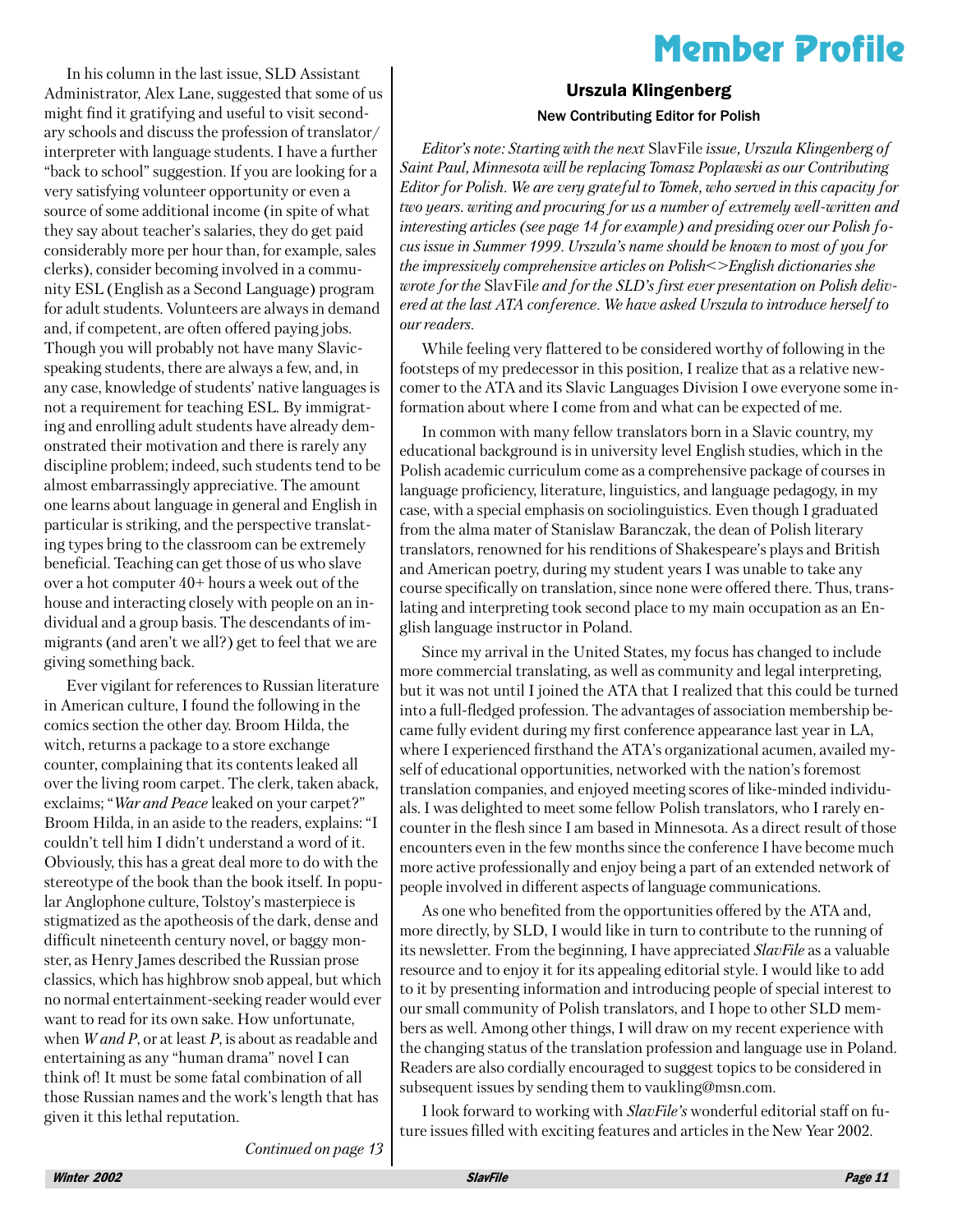## **Member Profile**

In his column in the last issue. SLD Assistant Administrator, Alex Lane, suggested that some of us might find it gratifying and useful to visit secondary schools and discuss the profession of translator/ interpreter with language students. I have a further "back to school" suggestion. If you are looking for a very satisfying volunteer opportunity or even a source of some additional income (in spite of what they say about teacher's salaries, they do get paid considerably more per hour than, for example, sales clerks), consider becoming involved in a community ESL (English as a Second Language) program for adult students. Volunteers are always in demand and, if competent, are often offered paying jobs. Though you will probably not have many Slavicspeaking students, there are always a few, and, in any case, knowledge of students' native languages is not a requirement for teaching ESL. By immigrating and enrolling adult students have already demonstrated their motivation and there is rarely any discipline problem; indeed, such students tend to be almost embarrassingly appreciative. The amount one learns about language in general and English in particular is striking, and the perspective translating types bring to the classroom can be extremely beneficial. Teaching can get those of us who slave over a hot computer  $40+$  hours a week out of the house and interacting closely with people on an individual and a group basis. The descendants of immigrants (and aren't we all?) get to feel that we are giving something back.

Ever vigilant for references to Russian literature in American culture, I found the following in the comics section the other day. Broom Hilda, the witch, returns a package to a store exchange counter, complaining that its contents leaked all over the living room carpet. The clerk, taken aback, exclaims; "War and Peace leaked on your carpet?" Broom Hilda, in an aside to the readers, explains: "I couldn't tell him I didn't understand a word of it. Obviously, this has a great deal more to do with the stereotype of the book than the book itself. In popular Anglophone culture, Tolstov's masterpiece is stigmatized as the apotheosis of the dark, dense and difficult nineteenth century novel, or baggy monster, as Henry James described the Russian prose classics, which has highbrow snob appeal, but which no normal entertainment-seeking reader would ever want to read for its own sake. How unfortunate. when  $W$  and P, or at least P, is about as readable and entertaining as any "human drama" novel I can think of! It must be some fatal combination of all those Russian names and the work's length that has given it this lethal reputation.

**Urszula Klingenberg New Contributing Editor for Polish** 

Editor's note: Starting with the next SlavFile issue, Urszula Klingenberg of Saint Paul, Minnesota will be replacing Tomasz Poplawski as our Contributing Editor for Polish. We are very grateful to Tomek, who served in this capacity for two years, writing and procuring for us a number of extremely well-written and interesting articles (see page 14 for example) and presiding over our Polish focus issue in Summer 1999. Urszula's name should be known to most of you for the impressively comprehensive articles on Polish<>English dictionaries she wrote for the SlavFile and for the SLD's first ever presentation on Polish delivered at the last ATA conference. We have asked Urszula to introduce herself to our readers.

While feeling very flattered to be considered worthy of following in the footsteps of my predecessor in this position, I realize that as a relative newcomer to the ATA and its Slavic Languages Division I owe everyone some information about where I come from and what can be expected of me.

In common with many fellow translators born in a Slavic country, my educational background is in university level English studies, which in the Polish academic curriculum come as a comprehensive package of courses in language proficiency, literature, linguistics, and language pedagogy, in my case, with a special emphasis on sociolinguistics. Even though I graduated from the alma mater of Stanislaw Baranczak, the dean of Polish literary translators, renowned for his renditions of Shakespeare's plays and British and American poetry, during my student years I was unable to take any course specifically on translation, since none were offered there. Thus, translating and interpreting took second place to my main occupation as an English language instructor in Poland.

Since my arrival in the United States, my focus has changed to include more commercial translating, as well as community and legal interpreting, but it was not until I joined the ATA that I realized that this could be turned into a full-fledged profession. The advantages of association membership became fully evident during my first conference appearance last year in LA, where I experienced firsthand the ATA's organizational acumen, availed myself of educational opportunities, networked with the nation's foremost translation companies, and enjoyed meeting scores of like-minded individuals. I was delighted to meet some fellow Polish translators, who I rarely encounter in the flesh since I am based in Minnesota. As a direct result of those encounters even in the few months since the conference I have become much more active professionally and enjoy being a part of an extended network of people involved in different aspects of language communications.

As one who benefited from the opportunities offered by the ATA and, more directly, by SLD, I would like in turn to contribute to the running of its newsletter. From the beginning, I have appreciated SlavFile as a valuable resource and to enjoy it for its appealing editorial style. I would like to add to it by presenting information and introducing people of special interest to our small community of Polish translators, and I hope to other SLD members as well. Among other things, I will draw on my recent experience with the changing status of the translation profession and language use in Poland. Readers are also cordially encouraged to suggest topics to be considered in subsequent issues by sending them to vaukling@msn.com.

I look forward to working with SlavFile's wonderful editorial staff on future issues filled with exciting features and articles in the New Year 2002.

Continued on page 13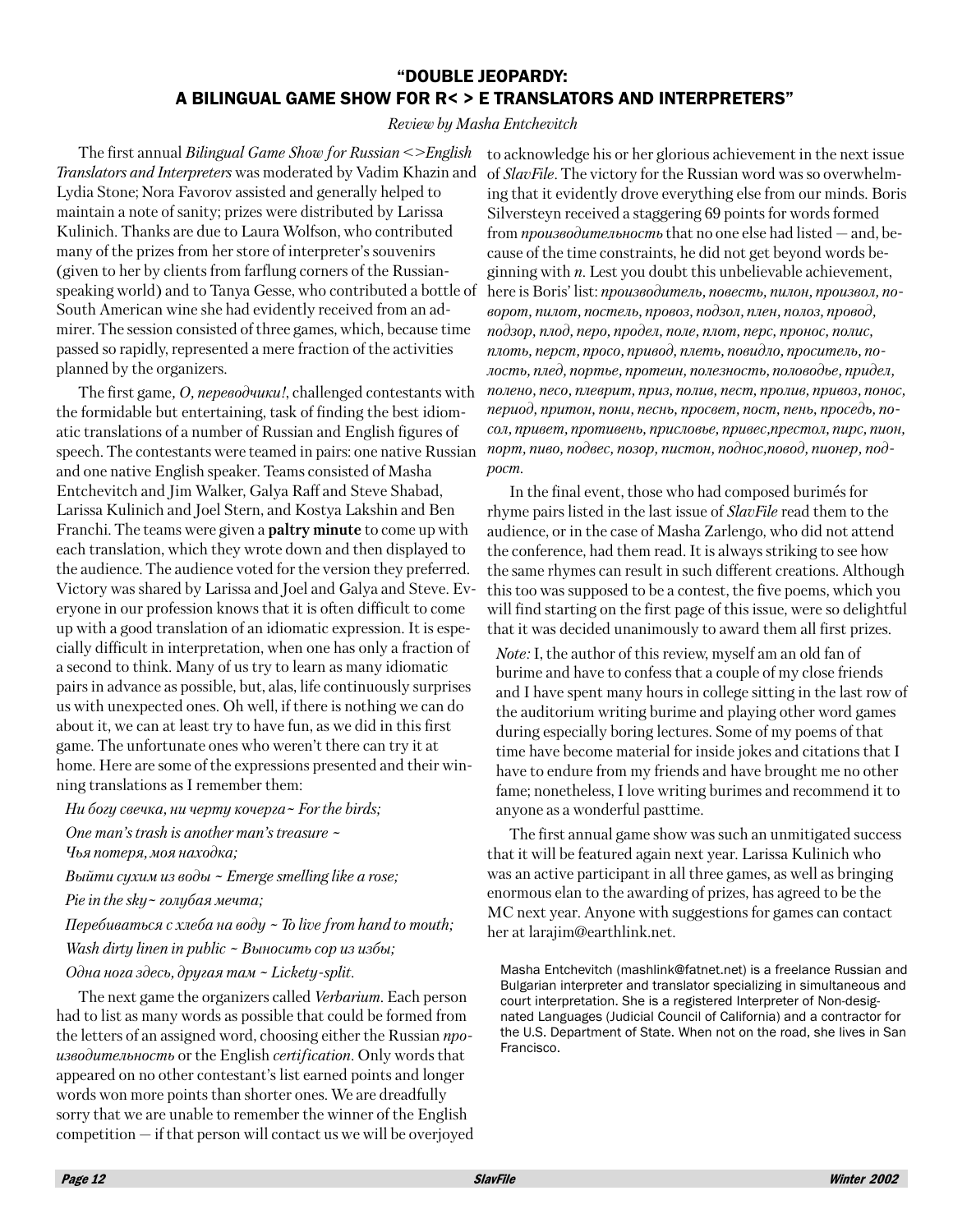## "DOUBLE JEOPARDY: A BILINGUAL GAME SHOW FOR R< > E TRANSLATORS AND INTERPRETERS"

#### Review by Masha Entchevitch

The first annual Bilingual Game Show for Russian  $\le$  English Translators and Interpreters was moderated by Vadim Khazin and Lydia Stone; Nora Favorov assisted and generally helped to maintain a note of sanity; prizes were distributed by Larissa Kulinich. Thanks are due to Laura Wolfson, who contributed many of the prizes from her store of interpreter's souvenirs (given to her by clients from farflung corners of the Russianspeaking world) and to Tanya Gesse, who contributed a bottle of South American wine she had evidently received from an admirer. The session consisted of three games, which, because time passed so rapidly, represented a mere fraction of the activities planned by the organizers.

The first game, O, *nepesoduuku!*, challenged contestants with the formidable but entertaining, task of finding the best idiomatic translations of a number of Russian and English figures of speech. The contestants were teamed in pairs: one native Russian and one native English speaker. Teams consisted of Masha Entchevitch and Jim Walker, Galya Raff and Steve Shabad, Larissa Kulinich and Joel Stern, and Kostya Lakshin and Ben Franchi. The teams were given a **paltry minute** to come up with each translation, which they wrote down and then displayed to the audience. The audience voted for the version they preferred. Victory was shared by Larissa and Joel and Galya and Steve. Everyone in our profession knows that it is often difficult to come up with a good translation of an idiomatic expression. It is especially difficult in interpretation, when one has only a fraction of a second to think. Many of us try to learn as many idiomatic pairs in advance as possible, but, alas, life continuously surprises us with unexpected ones. Oh well, if there is nothing we can do about it, we can at least try to have fun, as we did in this first game. The unfortunate ones who weren't there can try it at home. Here are some of the expressions presented and their winning translations as I remember them:

Ни богу свечка, ни черту кочерга  $\sim$  For the birds; One man's trash is another man's treasure ~ Чья потеря, моя находка;

Выйти сухим из воды  $\sim$  Emerge smelling like a rose;

Pie in the sky ~ голубая мечта;

Перебиваться с хлеба на воду  $\sim$  To live from hand to mouth; Wash dirty linen in public  $\sim$  Bыносить сор из избы;

Одна нога здесь, другая там ~ Lickety-split.

The next game the organizers called Verbarium. Each person had to list as many words as possible that could be formed from the letters of an assigned word, choosing either the Russian npoизводительность or the English certification. Only words that appeared on no other contestant's list earned points and longer words won more points than shorter ones. We are dreadfully sorry that we are unable to remember the winner of the English  $\alpha$  competition  $-\beta$  if that person will contact us we will be overjoyed

to acknowledge his or her glorious achievement in the next issue of *SlavFile*. The victory for the Russian word was so overwhelming that it evidently drove everything else from our minds. Boris Silversteyn received a staggering 69 points for words formed from *производительность* that no one else had listed  $-$  and, because of the time constraints, he did not get beyond words beginning with  $n$ . Lest you doubt this unbelievable achievement, here is Boris' list: производитель, повесть, пилон, произвол, поворот, пилот, постель, провоз, подзол, плен, полоз, провод, подзор, плод, перо, продел, поле, плот, перс, пронос, полис, плоть, перст, просо, привод, плеть, повидло, проситель, полость, плед, портье, протеин, полезность, половодье, придел, полено, песо, плеврит, приз, полив, пест, пролив, привоз, понос, период, притон, пони, песнь, просвет, пост, пень, проседь, посол, привет, противень, присловье, привес, престол, пирс, пион, порт, пиво, подвес, позор, пистон, поднос, повод, пионер, подpocm.

In the final event, those who had composed burimés for rhyme pairs listed in the last issue of *SlavFile* read them to the audience, or in the case of Masha Zarlengo, who did not attend the conference, had them read. It is always striking to see how the same rhymes can result in such different creations. Although this too was supposed to be a contest, the five poems, which you will find starting on the first page of this issue, were so delightful that it was decided unanimously to award them all first prizes.

*Note:* I, the author of this review, myself am an old fan of burime and have to confess that a couple of my close friends and I have spent many hours in college sitting in the last row of the auditorium writing burime and playing other word games during especially boring lectures. Some of my poems of that time have become material for inside jokes and citations that I have to endure from my friends and have brought me no other fame; nonetheless, I love writing burimes and recommend it to anyone as a wonderful past time.

The first annual game show was such an unmitigated success that it will be featured again next year. Larissa Kulinich who was an active participant in all three games, as well as bringing enormous elan to the awarding of prizes, has agreed to be the MC next year. Anyone with suggestions for games can contact her at larajim@earthlink.net.

Masha Entchevitch (mashlink@fatnet.net) is a freelance Russian and Bulgarian interpreter and translator specializing in simultaneous and court interpretation. She is a registered Interpreter of Non-designated Languages (Judicial Council of California) and a contractor for the U.S. Department of State. When not on the road, she lives in San Francisco.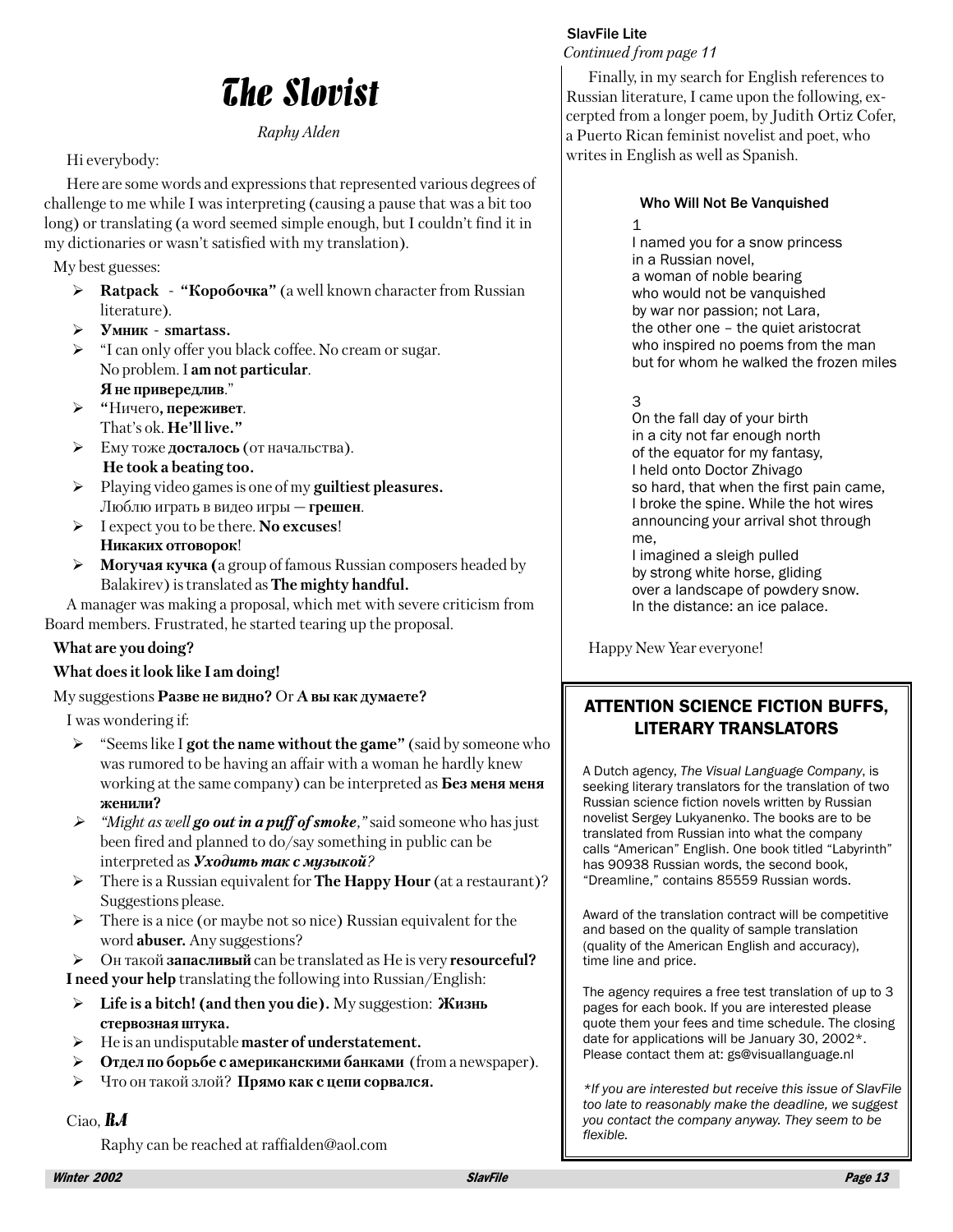## **The Slovist**

## Raphy Alden

## Hi everybody:

Here are some words and expressions that represented various degrees of challenge to me while I was interpreting (causing a pause that was a bit too long) or translating (a word seemed simple enough, but I couldn't find it in my dictionaries or wasn't satisfied with my translation).

My best guesses:

- $\triangleright$  Ratpack "Коробочка" (a well known character from Russian literature).
- Умник smartass.
- $\triangleright$  "I can only offer you black coffee. No cream or sugar. No problem. I am not particular. Я не привередлив."
- > "Ничего, переживет. That's ok. He'll live."
- > Ему тоже досталось (от начальства). He took a beating too.
- $\blacktriangleright$ Playing video games is one of my guiltiest pleasures. Люблю играть в видео игры — грешен.
- $\blacktriangleright$ I expect you to be there. No excuses! Никаких отговорок!
- $\blacktriangleright$ **Могучая кучка** (a group of famous Russian composers headed by Balakirev) is translated as The mighty handful.

A manager was making a proposal, which met with severe criticism from Board members. Frustrated, he started tearing up the proposal.

## What are you doing?

## What does it look like I am doing!

My suggestions Разве не видно? Ог А вы как думаете?

I was wondering if:

- $\triangleright$  "Seems like I got the name without the game" (said by someone who was rumored to be having an affair with a woman he hardly knew working at the same company) can be interpreted as **Без меня меня** женили?
- $\triangleright$  "Might as well **go out in a puff of smoke**," said someone who has just been fired and planned to do/say something in public can be interpreted as  $yx_0dy$  mb max c  $xy_3dx_0\ddot{u}$ ?
- $\triangleright$  There is a Russian equivalent for **The Happy Hour** (at a restaurant)? Suggestions please.
- $\blacktriangleright$ There is a nice (or maybe not so nice) Russian equivalent for the word **abuser**. Any suggestions?
- > Он такой запасливый can be translated as He is very resourceful? **I** need your help translating the following into Russian/English:
- Life is a bitch! (and then you die). Му suggestion: Жизнь ≻ стервозная штука.
- $\triangleright$  He is an undisputable master of understatement.
- $\blacktriangleright$ Отдел по борьбе с американскими банками (from a newspaper).
- ≻ Что он такой злой? Прямо как с цепи сорвался.

## Ciao,  $R$  $A$

Raphy can be reached at raffialden@aol.com

## **SlavFile Lite**

Continued from page 11

Finally, in my search for English references to Russian literature, I came upon the following, excerpted from a longer poem, by Judith Ortiz Cofer, a Puerto Rican feminist novelist and poet, who writes in English as well as Spanish.

### Who Will Not Be Vanquished

 $\mathbf{1}$ 

I named you for a snow princess in a Russian novel, a woman of noble bearing who would not be vanquished by war nor passion; not Lara, the other one - the quiet aristocrat who inspired no poems from the man but for whom he walked the frozen miles

3

On the fall day of your birth in a city not far enough north of the equator for my fantasy, I held onto Doctor Zhivago so hard, that when the first pain came, I broke the spine. While the hot wires announcing your arrival shot through me.

I imagined a sleigh pulled by strong white horse, gliding over a landscape of powdery snow. In the distance: an ice palace.

Happy New Year everyone!

## **ATTENTION SCIENCE FICTION BUFFS. LITERARY TRANSLATORS**

A Dutch agency, The Visual Language Company, is seeking literary translators for the translation of two Russian science fiction novels written by Russian novelist Sergey Lukyanenko. The books are to be translated from Russian into what the company calls "American" English. One book titled "Labyrinth" has 90938 Russian words, the second book, "Dreamline," contains 85559 Russian words.

Award of the translation contract will be competitive and based on the quality of sample translation (quality of the American English and accuracy), time line and price.

The agency requires a free test translation of up to 3 pages for each book. If you are interested please quote them your fees and time schedule. The closing date for applications will be January 30, 2002\*. Please contact them at: gs@visuallanguage.nl

\*If you are interested but receive this issue of SlavFile too late to reasonably make the deadline, we suggest you contact the company anyway. They seem to be flexible.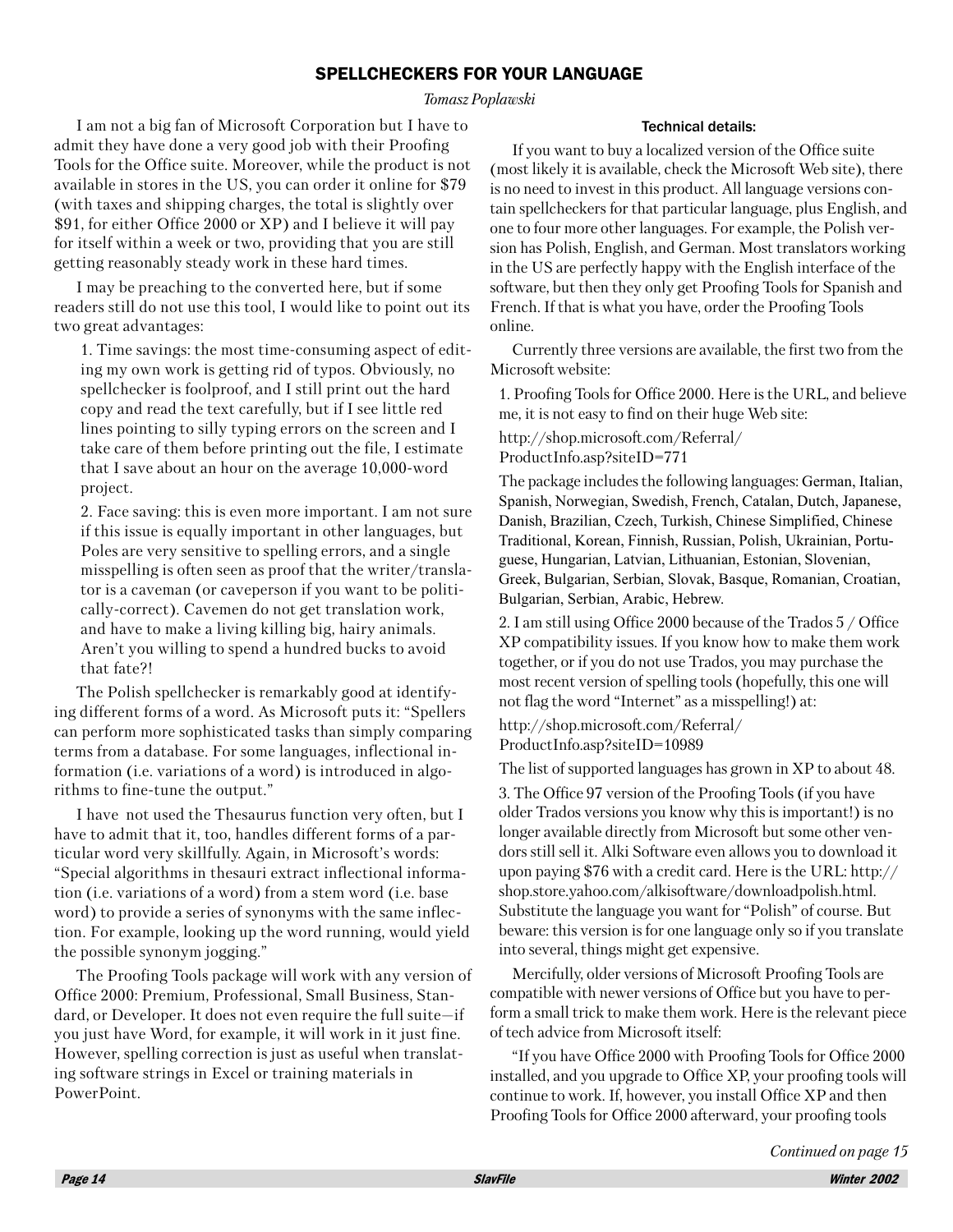## **SPELLCHECKERS FOR YOUR LANGUAGE**

Tomasz Poplawski

I am not a big fan of Microsoft Corporation but I have to admit they have done a very good job with their Proofing Tools for the Office suite. Moreover, while the product is not available in stores in the US, you can order it online for \$79 (with taxes and shipping charges, the total is slightly over \$91, for either Office 2000 or XP) and I believe it will pay for itself within a week or two, providing that you are still getting reasonably steady work in these hard times.

I may be preaching to the converted here, but if some readers still do not use this tool, I would like to point out its two great advantages:

1. Time savings: the most time-consuming aspect of editing my own work is getting rid of typos. Obviously, no spellchecker is foolproof, and I still print out the hard copy and read the text carefully, but if I see little red lines pointing to silly typing errors on the screen and I take care of them before printing out the file, I estimate that I save about an hour on the average 10,000-word project.

2. Face saving: this is even more important. I am not sure if this issue is equally important in other languages, but Poles are very sensitive to spelling errors, and a single misspelling is often seen as proof that the writer/translator is a caveman (or caveperson if you want to be politically-correct). Cavemen do not get translation work, and have to make a living killing big, hairy animals. Aren't you willing to spend a hundred bucks to avoid that fate?!

The Polish spellchecker is remarkably good at identifying different forms of a word. As Microsoft puts it: "Spellers" can perform more sophisticated tasks than simply comparing terms from a database. For some languages, inflectional information (i.e. variations of a word) is introduced in algorithms to fine-tune the output."

I have not used the Thesaurus function very often, but I have to admit that it, too, handles different forms of a particular word very skillfully. Again, in Microsoft's words: "Special algorithms in thesauri extract inflectional information (i.e. variations of a word) from a stem word (i.e. base word) to provide a series of synonyms with the same inflection. For example, looking up the word running, would yield the possible synonym jogging."

The Proofing Tools package will work with any version of Office 2000: Premium, Professional, Small Business, Standard, or Developer. It does not even require the full suite-if you just have Word, for example, it will work in it just fine. However, spelling correction is just as useful when translating software strings in Excel or training materials in PowerPoint.

#### **Technical details:**

If you want to buy a localized version of the Office suite (most likely it is available, check the Microsoft Web site), there is no need to invest in this product. All language versions contain spellcheckers for that particular language, plus English, and one to four more other languages. For example, the Polish version has Polish, English, and German. Most translators working in the US are perfectly happy with the English interface of the software, but then they only get Proofing Tools for Spanish and French. If that is what you have, order the Proofing Tools online.

Currently three versions are available, the first two from the Microsoft website:

1. Proofing Tools for Office 2000. Here is the URL, and believe me, it is not easy to find on their huge Web site:

http://shop.microsoft.com/Referral/ ProductInfo.asp?siteID=771

The package includes the following languages: German, Italian, Spanish, Norwegian, Swedish, French, Catalan, Dutch, Japanese, Danish, Brazilian, Czech, Turkish, Chinese Simplified, Chinese Traditional, Korean, Finnish, Russian, Polish, Ukrainian, Portuguese, Hungarian, Latvian, Lithuanian, Estonian, Slovenian, Greek, Bulgarian, Serbian, Slovak, Basque, Romanian, Croatian, Bulgarian, Serbian, Arabic, Hebrew.

2. I am still using Office 2000 because of the Trados 5 / Office XP compatibility issues. If you know how to make them work together, or if you do not use Trados, you may purchase the most recent version of spelling tools (hopefully, this one will not flag the word "Internet" as a misspelling!) at:

http://shop.microsoft.com/Referral/ ProductInfo.asp?siteID=10989

The list of supported languages has grown in XP to about 48. 3. The Office 97 version of the Proofing Tools (if you have older Trados versions you know why this is important!) is no longer available directly from Microsoft but some other vendors still sell it. Alki Software even allows you to download it upon paying \$76 with a credit card. Here is the URL: http:// shop.store.yahoo.com/alkisoftware/downloadpolish.html. Substitute the language you want for "Polish" of course. But beware: this version is for one language only so if you translate into several, things might get expensive.

Mercifully, older versions of Microsoft Proofing Tools are compatible with newer versions of Office but you have to perform a small trick to make them work. Here is the relevant piece of tech advice from Microsoft itself:

"If you have Office 2000 with Proofing Tools for Office 2000 installed, and you upgrade to Office XP, your proofing tools will continue to work. If, however, you install Office XP and then Proofing Tools for Office 2000 afterward, your proofing tools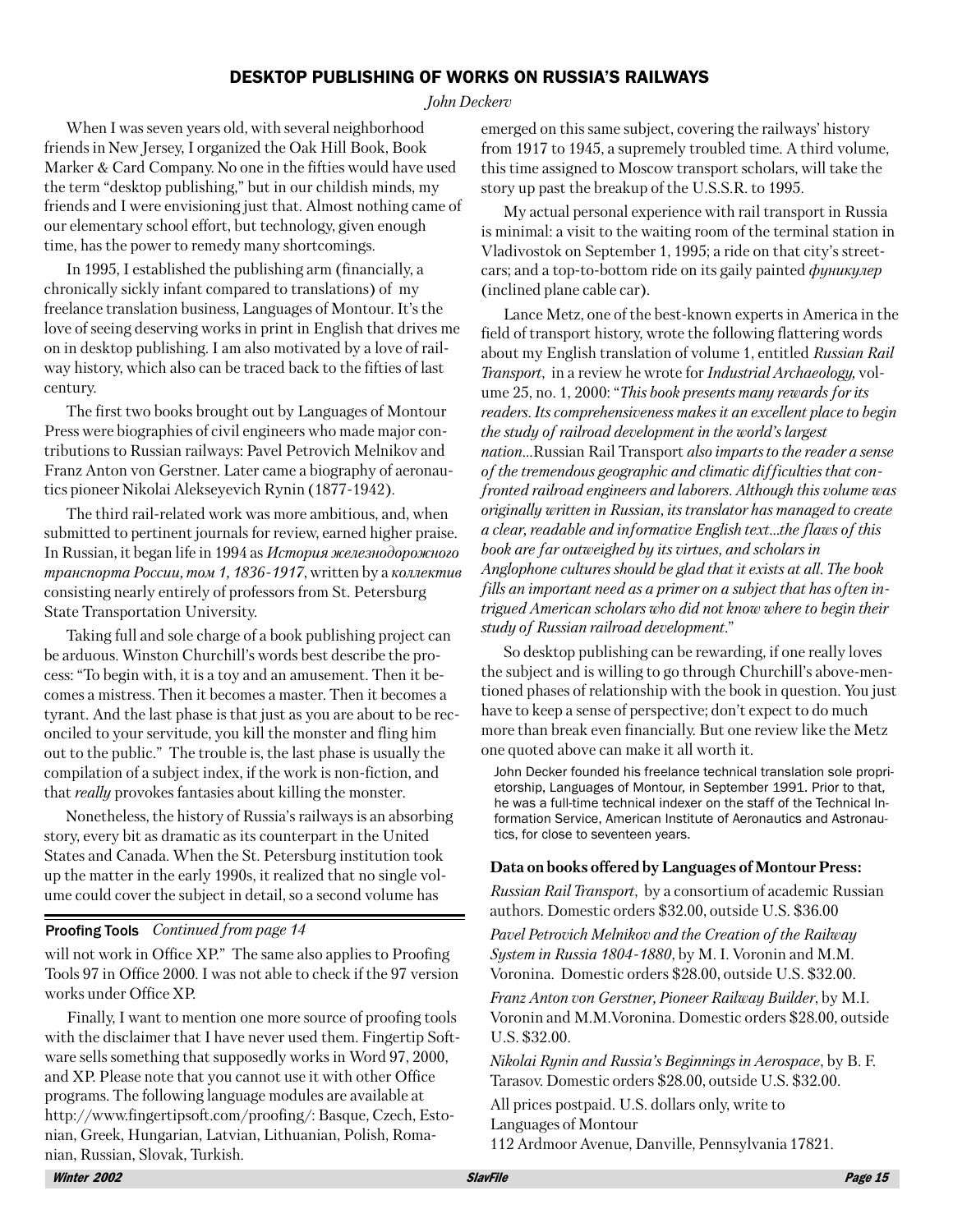## **DESKTOP PUBLISHING OF WORKS ON RUSSIA'S RAILWAYS**

#### John Deckerv

When I was seven years old, with several neighborhood friends in New Jersey, I organized the Oak Hill Book, Book Marker & Card Company. No one in the fifties would have used the term "desktop publishing," but in our childish minds, my friends and I were envisioning just that. Almost nothing came of our elementary school effort, but technology, given enough time, has the power to remedy many shortcomings.

In 1995, I established the publishing arm (financially, a chronically sickly infant compared to translations) of my freelance translation business, Languages of Montour. It's the love of seeing deserving works in print in English that drives me on in desktop publishing. I am also motivated by a love of railway history, which also can be traced back to the fifties of last century.

The first two books brought out by Languages of Montour Press were biographies of civil engineers who made major contributions to Russian railways: Pavel Petrovich Melnikov and Franz Anton von Gerstner. Later came a biography of aeronautics pioneer Nikolai Alekseyevich Rynin (1877-1942).

The third rail-related work was more ambitious, and, when submitted to pertinent journals for review, earned higher praise. In Russian, it began life in 1994 as *История железнодорожного* транспорта России, том 1, 1836-1917, written by а коллектив consisting nearly entirely of professors from St. Petersburg **State Transportation University.** 

Taking full and sole charge of a book publishing project can be arduous. Winston Churchill's words best describe the process: "To begin with, it is a toy and an amusement. Then it becomes a mistress. Then it becomes a master. Then it becomes a tyrant. And the last phase is that just as you are about to be reconciled to your servitude, you kill the monster and fling him out to the public." The trouble is, the last phase is usually the compilation of a subject index, if the work is non-fiction, and that *really* provokes fantasies about killing the monster.

Nonetheless, the history of Russia's railways is an absorbing story, every bit as dramatic as its counterpart in the United States and Canada. When the St. Petersburg institution took up the matter in the early 1990s, it realized that no single volume could cover the subject in detail, so a second volume has

## **Proofing Tools** Continued from page 14

will not work in Office XP." The same also applies to Proofing Tools 97 in Office 2000. I was not able to check if the 97 version works under Office XP.

Finally, I want to mention one more source of proofing tools with the disclaimer that I have never used them. Fingertip Software sells something that supposedly works in Word 97, 2000, and XP. Please note that you cannot use it with other Office programs. The following language modules are available at http://www.fingertipsoft.com/proofing/: Basque, Czech, Estonian, Greek, Hungarian, Latvian, Lithuanian, Polish, Romanian, Russian, Slovak, Turkish.

emerged on this same subject, covering the railways' history from 1917 to 1945, a supremely troubled time. A third volume, this time assigned to Moscow transport scholars, will take the story up past the breakup of the U.S.S.R. to 1995.

My actual personal experience with rail transport in Russia is minimal: a visit to the waiting room of the terminal station in Vladivostok on September 1, 1995; a ride on that city's streetcars; and a top-to-bottom ride on its gaily painted *фуникулер* (inclined plane cable car).

Lance Metz, one of the best-known experts in America in the field of transport history, wrote the following flattering words about my English translation of volume 1, entitled Russian Rail *Transport*, in a review he wrote for *Industrial Archaeology*, volume 25, no. 1, 2000: "This book presents many rewards for its readers. Its comprehensiveness makes it an excellent place to begin the study of railroad development in the world's largest nation...Russian Rail Transport also imparts to the reader a sense of the tremendous geographic and climatic difficulties that confronted railroad engineers and laborers. Although this volume was originally written in Russian, its translator has managed to create a clear, readable and informative English text...the flaws of this book are far outweighed by its virtues, and scholars in Anglophone cultures should be glad that it exists at all. The book fills an important need as a primer on a subject that has often intrigued American scholars who did not know where to begin their study of Russian railroad development."

So desktop publishing can be rewarding, if one really loves the subject and is willing to go through Churchill's above-mentioned phases of relationship with the book in question. You just have to keep a sense of perspective; don't expect to do much more than break even financially. But one review like the Metz one quoted above can make it all worth it.

John Decker founded his freelance technical translation sole proprietorship, Languages of Montour, in September 1991. Prior to that, he was a full-time technical indexer on the staff of the Technical Information Service, American Institute of Aeronautics and Astronautics, for close to seventeen vears.

#### Data on books offered by Languages of Montour Press:

*Russian Rail Transport*, by a consortium of academic Russian authors. Domestic orders \$32.00, outside U.S. \$36.00

Pavel Petrovich Melnikov and the Creation of the Railway *System in Russia 1804-1880*, by M. I. Voronin and M.M. Voronina. Domestic orders \$28.00, outside U.S. \$32.00.

Franz Anton von Gerstner, Pioneer Railway Builder, by M.I. Voronin and M.M.Voronina. Domestic orders \$28.00, outside U.S. \$32.00.

Nikolai Rynin and Russia's Beginnings in Aerospace, by B. F. Tarasov. Domestic orders \$28.00, outside U.S. \$32.00.

All prices postpaid. U.S. dollars only, write to Languages of Montour

112 Ardmoor Avenue, Danville, Pennsylvania 17821.